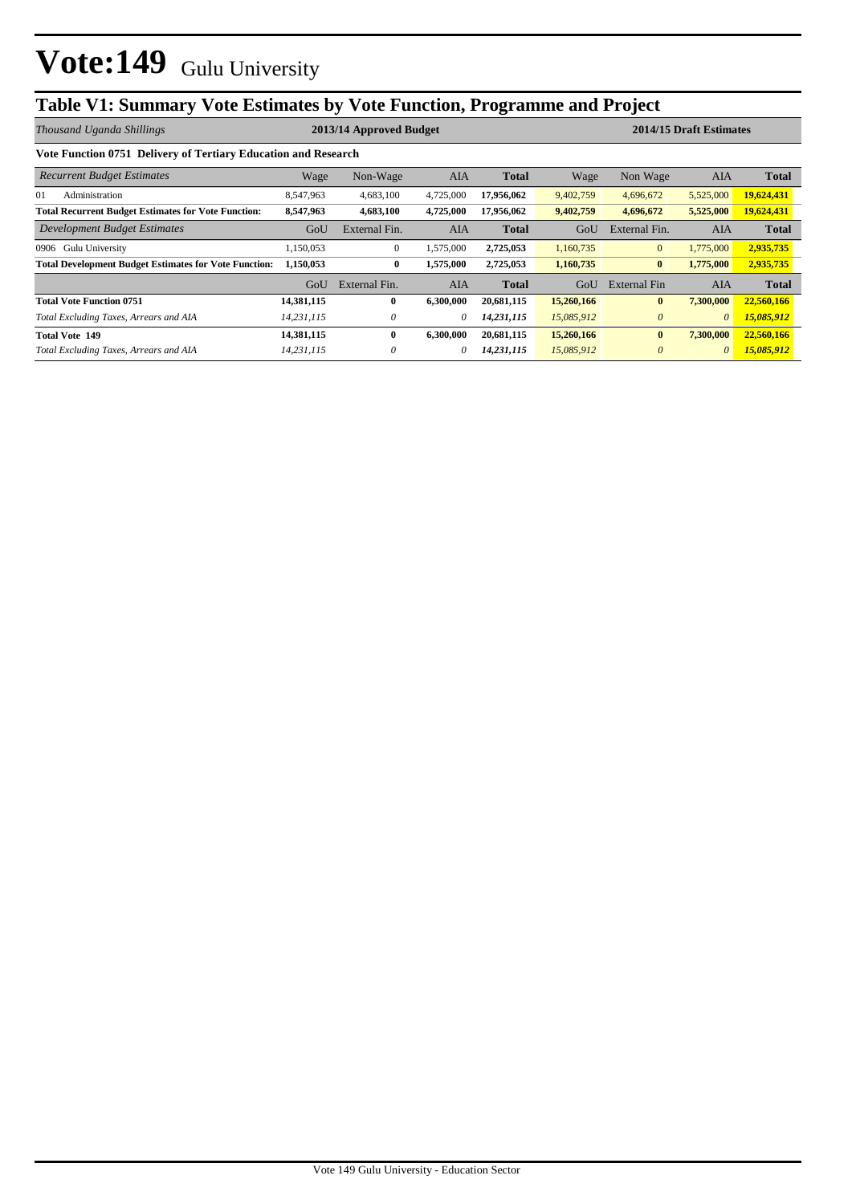## **Table V1: Summary Vote Estimates by Vote Function, Programme and Project**

| Thousand Uganda Shillings                                      | 2013/14 Approved Budget |               |            |              |            |                | 2014/15 Draft Estimates |              |
|----------------------------------------------------------------|-------------------------|---------------|------------|--------------|------------|----------------|-------------------------|--------------|
| Vote Function 0751 Delivery of Tertiary Education and Research |                         |               |            |              |            |                |                         |              |
| <b>Recurrent Budget Estimates</b>                              | Wage                    | Non-Wage      | <b>AIA</b> | <b>Total</b> | Wage       | Non Wage       | AIA                     | <b>Total</b> |
| 01<br>Administration                                           | 8,547,963               | 4,683,100     | 4,725,000  | 17,956,062   | 9,402,759  | 4,696,672      | 5,525,000               | 19,624,431   |
| <b>Total Recurrent Budget Estimates for Vote Function:</b>     | 8,547,963               | 4,683,100     | 4,725,000  | 17,956,062   | 9,402,759  | 4,696,672      | 5,525,000               | 19,624,431   |
| Development Budget Estimates                                   | GoU                     | External Fin. | <b>AIA</b> | <b>Total</b> | GoU        | External Fin.  | <b>AIA</b>              | <b>Total</b> |
| Gulu University<br>0906                                        | ,150,053                | $\mathbf{0}$  | 1,575,000  | 2,725,053    | 1,160,735  | $\overline{0}$ | 1,775,000               | 2,935,735    |
| <b>Total Development Budget Estimates for Vote Function:</b>   | 1,150,053               | $\bf{0}$      | 1,575,000  | 2,725,053    | 1,160,735  | $\bf{0}$       | 1,775,000               | 2,935,735    |
|                                                                | GoU                     | External Fin. | AIA        | <b>Total</b> | GoU        | External Fin   | <b>AIA</b>              | <b>Total</b> |
| <b>Total Vote Function 0751</b>                                | 14,381,115              | $\bf{0}$      | 6,300,000  | 20,681,115   | 15,260,166 | $\mathbf{0}$   | 7,300,000               | 22,560,166   |
| Total Excluding Taxes, Arrears and AIA                         | 14,231,115              | 0             | 0          | 14,231,115   | 15,085,912 | $\theta$       | $\theta$                | 15,085,912   |
| <b>Total Vote 149</b>                                          | 14,381,115              | $\bf{0}$      | 6,300,000  | 20,681,115   | 15,260,166 | $\bf{0}$       | 7,300,000               | 22,560,166   |
| Total Excluding Taxes, Arrears and AIA                         | 14,231,115              | 0             | 0          | 14,231,115   | 15,085,912 | $\theta$       | $\theta$                | 15,085,912   |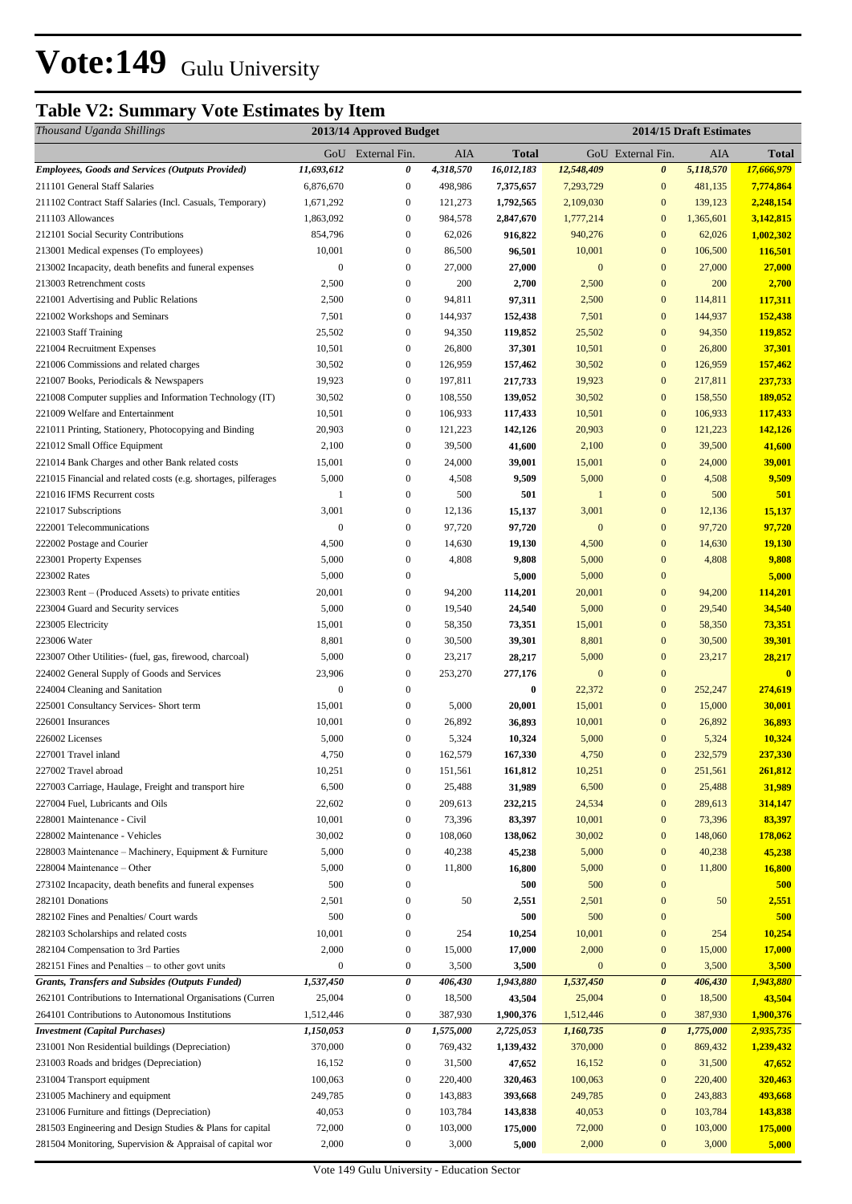## **Table V2: Summary Vote Estimates by Item**

| GoU External Fin.<br>AIA<br>GoU External Fin.<br>AIA<br><b>Total</b><br><b>Total</b><br>11,693,612<br>5,118,570<br><b>Employees, Goods and Services (Outputs Provided)</b><br>0<br>4,318,570<br>16,012,183<br>12,548,409<br>$\boldsymbol{\theta}$<br>17,666,979<br>211101 General Staff Salaries<br>6,876,670<br>$\boldsymbol{0}$<br>498,986<br>7,293,729<br>$\mathbf{0}$<br>481,135<br>7,774,864<br>7,375,657<br>1,671,292<br>$\boldsymbol{0}$<br>2,109,030<br>$\mathbf{0}$<br>139,123<br>2,248,154<br>211102 Contract Staff Salaries (Incl. Casuals, Temporary)<br>121,273<br>1,792,565<br>1,863,092<br>$\boldsymbol{0}$<br>984,578<br>2,847,670<br>1,777,214<br>$\mathbf{0}$<br>3,142,815<br>211103 Allowances<br>1,365,601<br>212101 Social Security Contributions<br>854,796<br>$\boldsymbol{0}$<br>62,026<br>916,822<br>940,276<br>$\bf{0}$<br>62,026<br>1,002,302<br>10,001<br>$\boldsymbol{0}$<br>86,500<br>96,501<br>10,001<br>$\bf{0}$<br>106,500<br>116,501<br>213001 Medical expenses (To employees)<br>$\boldsymbol{0}$<br>$\boldsymbol{0}$<br>27,000<br>27,000<br>$\mathbf{0}$<br>$\bf{0}$<br>27,000<br>27,000<br>213002 Incapacity, death benefits and funeral expenses<br>$\boldsymbol{0}$<br>2,500<br>$\overline{0}$<br>200<br>2,500<br>200<br>213003 Retrenchment costs<br>2,700<br>2,700<br>$\mathbf{0}$<br>2,500<br>$\boldsymbol{0}$<br>94,811<br>97,311<br>114,811<br>117,311<br>221001 Advertising and Public Relations<br>2,500<br>$\mathbf{0}$<br>7,501<br>$\boldsymbol{0}$<br>144,937<br>144,937<br>152,438<br>221002 Workshops and Seminars<br>152,438<br>7,501<br>$\mathbf{0}$<br>221003 Staff Training<br>25,502<br>$\boldsymbol{0}$<br>94,350<br>25,502<br>94,350<br>119,852<br>119,852<br>37,301<br>221004 Recruitment Expenses<br>10,501<br>$\boldsymbol{0}$<br>26,800<br>37,301<br>10,501<br>$\mathbf{0}$<br>26,800<br>$\boldsymbol{0}$<br>$\boldsymbol{0}$<br>30,502<br>126,959<br>157,462<br>30,502<br>126,959<br>157,462<br>221006 Commissions and related charges<br>$\boldsymbol{0}$<br>197,811<br>19,923<br>$\bf{0}$<br>217,811<br>221007 Books, Periodicals & Newspapers<br>19,923<br>217,733<br>237,733<br>$\boldsymbol{0}$<br>$\bf{0}$<br>189,052<br>221008 Computer supplies and Information Technology (IT)<br>30,502<br>108,550<br>139,052<br>30,502<br>158,550<br>10,501<br>$\boldsymbol{0}$<br>106,933<br>10,501<br>$\mathbf{0}$<br>106,933<br>117,433<br>221009 Welfare and Entertainment<br>117,433<br>$\boldsymbol{0}$<br>$\mathbf{0}$<br>221011 Printing, Stationery, Photocopying and Binding<br>20,903<br>121,223<br>142,126<br>20,903<br>121,223<br>142,126<br>2,100<br>$\boldsymbol{0}$<br>39,500<br>$\mathbf{0}$<br>39,500<br>221012 Small Office Equipment<br>41,600<br>2,100<br>41,600<br>$\boldsymbol{0}$<br>$\mathbf{0}$<br>24,000<br>39,001<br>221014 Bank Charges and other Bank related costs<br>15,001<br>24,000<br>39,001<br>15,001<br>$\mathbf{0}$<br>9,509<br>5,000<br>$\boldsymbol{0}$<br>4,508<br>9,509<br>5,000<br>4,508<br>221015 Financial and related costs (e.g. shortages, pilferages<br>$\boldsymbol{0}$<br>500<br>$\mathbf{0}$<br>500<br>221016 IFMS Recurrent costs<br>1<br>501<br>$\mathbf{1}$<br>501<br>$\mathbf{0}$<br>3,001<br>$\boldsymbol{0}$<br>15,137<br>3,001<br>12,136<br>15,137<br>221017 Subscriptions<br>12,136<br>$\mathbf{0}$<br>$\boldsymbol{0}$<br>97,720<br>97,720<br>$\mathbf{0}$<br>$\mathbf{0}$<br>97,720<br>97,720<br>222001 Telecommunications<br>4,500<br>$\bf{0}$<br>222002 Postage and Courier<br>$\boldsymbol{0}$<br>14,630<br>4,500<br>14,630<br>19,130<br>19,130<br>5,000<br>$\boldsymbol{0}$<br>4,808<br>$\bf{0}$<br>4,808<br>223001 Property Expenses<br>9,808<br>5,000<br>9,808<br>5,000<br>223002 Rates<br>5,000<br>5,000<br>5,000<br>$\boldsymbol{0}$<br>$\mathbf{0}$<br>$\boldsymbol{0}$<br>20,001<br>$\overline{0}$<br>94,200<br>114,201<br>223003 Rent – (Produced Assets) to private entities<br>114,201<br>20,001<br>94,200<br>5,000<br>$\boldsymbol{0}$<br>19,540<br>$\mathbf{0}$<br>29,540<br>223004 Guard and Security services<br>24,540<br>5,000<br>34,540<br>$\mathbf{0}$<br>$\boldsymbol{0}$<br>58,350<br>15,001<br>58,350<br>73,351<br>223005 Electricity<br>15,001<br>73,351<br>$\mathbf{0}$<br>223006 Water<br>8,801<br>$\boldsymbol{0}$<br>30,500<br>39,301<br>8,801<br>30,500<br>39,301<br>$\boldsymbol{0}$<br>5,000<br>$\boldsymbol{0}$<br>23,217<br>5,000<br>23,217<br>223007 Other Utilities- (fuel, gas, firewood, charcoal)<br>28,217<br>28,217<br>23,906<br>$\boldsymbol{0}$<br>253,270<br>277,176<br>$\mathbf{0}$<br>$\bf{0}$<br>224002 General Supply of Goods and Services<br>$\overline{\mathbf{0}}$<br>$\boldsymbol{0}$<br>$\boldsymbol{0}$<br>22,372<br>$\bf{0}$<br>274,619<br>224004 Cleaning and Sanitation<br>$\bf{0}$<br>252,247<br>15,001<br>15,001<br>$\bf{0}$<br>15,000<br>225001 Consultancy Services- Short term<br>$\boldsymbol{0}$<br>5,000<br>30,001<br>20,001<br>10,001<br>$\bf{0}$<br>26,892<br>226001 Insurances<br>$\boldsymbol{0}$<br>26,892<br>36,893<br>10,001<br>36,893<br>$\boldsymbol{0}$<br>$\boldsymbol{0}$<br>10,324<br>226002 Licenses<br>5,000<br>5,324<br>10,324<br>5,000<br>5,324<br>$\mathbf{0}$<br>237,330<br>4,750<br>$\boldsymbol{0}$<br>162,579<br>4,750<br>232,579<br>227001 Travel inland<br>167,330<br>227002 Travel abroad<br>10,251<br>$\boldsymbol{0}$<br>151,561<br>10,251<br>$\bf{0}$<br>161,812<br>251,561<br>261,812<br>31,989<br>$\boldsymbol{0}$<br>31,989<br>6,500<br>$\boldsymbol{0}$<br>25,488<br>6,500<br>25,488<br>227003 Carriage, Haulage, Freight and transport hire<br>227004 Fuel, Lubricants and Oils<br>22,602<br>$\boldsymbol{0}$<br>209,613<br>232,215<br>24,534<br>$\mathbf{0}$<br>289,613<br>314,147<br>$\boldsymbol{0}$<br>10,001<br>$\boldsymbol{0}$<br>73,396<br>83,397<br>10,001<br>73,396<br>83,397<br>228001 Maintenance - Civil<br>30,002<br>$\boldsymbol{0}$<br>108,060<br>30,002<br>$\bf{0}$<br>148,060<br>228002 Maintenance - Vehicles<br>138,062<br>178,062<br>5,000<br>40,238<br>45,238<br>5,000<br>$\bf{0}$<br>40,238<br>45,238<br>228003 Maintenance – Machinery, Equipment & Furniture<br>$\boldsymbol{0}$<br>228004 Maintenance - Other<br>5,000<br>11,800<br>16,800<br>$\bf{0}$<br>11,800<br>16,800<br>$\boldsymbol{0}$<br>5,000<br>500<br>0<br>500<br>$\bf{0}$<br>273102 Incapacity, death benefits and funeral expenses<br>500<br>500<br>2,501<br>$\mathbf{0}$<br>50<br>$\boldsymbol{0}$<br>2,551<br>282101 Donations<br>2,551<br>2,501<br>50<br>282102 Fines and Penalties/ Court wards<br>500<br>$\mathbf{0}$<br>500<br>500<br>$\boldsymbol{0}$<br>500 |
|----------------------------------------------------------------------------------------------------------------------------------------------------------------------------------------------------------------------------------------------------------------------------------------------------------------------------------------------------------------------------------------------------------------------------------------------------------------------------------------------------------------------------------------------------------------------------------------------------------------------------------------------------------------------------------------------------------------------------------------------------------------------------------------------------------------------------------------------------------------------------------------------------------------------------------------------------------------------------------------------------------------------------------------------------------------------------------------------------------------------------------------------------------------------------------------------------------------------------------------------------------------------------------------------------------------------------------------------------------------------------------------------------------------------------------------------------------------------------------------------------------------------------------------------------------------------------------------------------------------------------------------------------------------------------------------------------------------------------------------------------------------------------------------------------------------------------------------------------------------------------------------------------------------------------------------------------------------------------------------------------------------------------------------------------------------------------------------------------------------------------------------------------------------------------------------------------------------------------------------------------------------------------------------------------------------------------------------------------------------------------------------------------------------------------------------------------------------------------------------------------------------------------------------------------------------------------------------------------------------------------------------------------------------------------------------------------------------------------------------------------------------------------------------------------------------------------------------------------------------------------------------------------------------------------------------------------------------------------------------------------------------------------------------------------------------------------------------------------------------------------------------------------------------------------------------------------------------------------------------------------------------------------------------------------------------------------------------------------------------------------------------------------------------------------------------------------------------------------------------------------------------------------------------------------------------------------------------------------------------------------------------------------------------------------------------------------------------------------------------------------------------------------------------------------------------------------------------------------------------------------------------------------------------------------------------------------------------------------------------------------------------------------------------------------------------------------------------------------------------------------------------------------------------------------------------------------------------------------------------------------------------------------------------------------------------------------------------------------------------------------------------------------------------------------------------------------------------------------------------------------------------------------------------------------------------------------------------------------------------------------------------------------------------------------------------------------------------------------------------------------------------------------------------------------------------------------------------------------------------------------------------------------------------------------------------------------------------------------------------------------------------------------------------------------------------------------------------------------------------------------------------------------------------------------------------------------------------------------------------------------------------------------------------------------------------------------------------------------------------------------------------------------------------------------------------------------------------------------------------------------------------------------------------------------------------------------------------------------------------------------------------------------------------------------------------------------------------------------------------------------------------------------------------------------------------------------------------------------------------------------------------------------------------------------------------------------------------------------------------------------------------------------------------------------------------------------------------------------------------------------------------------------------------------------------------------------------------------------------------------------------------------------------------------------------------------------------------------------------------------------------------------------------------------------------------------------------------------------------------------------------------------------------------------------------------------------------------|
|                                                                                                                                                                                                                                                                                                                                                                                                                                                                                                                                                                                                                                                                                                                                                                                                                                                                                                                                                                                                                                                                                                                                                                                                                                                                                                                                                                                                                                                                                                                                                                                                                                                                                                                                                                                                                                                                                                                                                                                                                                                                                                                                                                                                                                                                                                                                                                                                                                                                                                                                                                                                                                                                                                                                                                                                                                                                                                                                                                                                                                                                                                                                                                                                                                                                                                                                                                                                                                                                                                                                                                                                                                                                                                                                                                                                                                                                                                                                                                                                                                                                                                                                                                                                                                                                                                                                                                                                                                                                                                                                                                                                                                                                                                                                                                                                                                                                                                                                                                                                                                                                                                                                                                                                                                                                                                                                                                                                                                                                                                                                                                                                                                                                                                                                                                                                                                                                                                                                                                                                                                                                                                                                                                                                                                                                                                                                                                                                                                                                                                                                                                                        |
|                                                                                                                                                                                                                                                                                                                                                                                                                                                                                                                                                                                                                                                                                                                                                                                                                                                                                                                                                                                                                                                                                                                                                                                                                                                                                                                                                                                                                                                                                                                                                                                                                                                                                                                                                                                                                                                                                                                                                                                                                                                                                                                                                                                                                                                                                                                                                                                                                                                                                                                                                                                                                                                                                                                                                                                                                                                                                                                                                                                                                                                                                                                                                                                                                                                                                                                                                                                                                                                                                                                                                                                                                                                                                                                                                                                                                                                                                                                                                                                                                                                                                                                                                                                                                                                                                                                                                                                                                                                                                                                                                                                                                                                                                                                                                                                                                                                                                                                                                                                                                                                                                                                                                                                                                                                                                                                                                                                                                                                                                                                                                                                                                                                                                                                                                                                                                                                                                                                                                                                                                                                                                                                                                                                                                                                                                                                                                                                                                                                                                                                                                                                        |
|                                                                                                                                                                                                                                                                                                                                                                                                                                                                                                                                                                                                                                                                                                                                                                                                                                                                                                                                                                                                                                                                                                                                                                                                                                                                                                                                                                                                                                                                                                                                                                                                                                                                                                                                                                                                                                                                                                                                                                                                                                                                                                                                                                                                                                                                                                                                                                                                                                                                                                                                                                                                                                                                                                                                                                                                                                                                                                                                                                                                                                                                                                                                                                                                                                                                                                                                                                                                                                                                                                                                                                                                                                                                                                                                                                                                                                                                                                                                                                                                                                                                                                                                                                                                                                                                                                                                                                                                                                                                                                                                                                                                                                                                                                                                                                                                                                                                                                                                                                                                                                                                                                                                                                                                                                                                                                                                                                                                                                                                                                                                                                                                                                                                                                                                                                                                                                                                                                                                                                                                                                                                                                                                                                                                                                                                                                                                                                                                                                                                                                                                                                                        |
|                                                                                                                                                                                                                                                                                                                                                                                                                                                                                                                                                                                                                                                                                                                                                                                                                                                                                                                                                                                                                                                                                                                                                                                                                                                                                                                                                                                                                                                                                                                                                                                                                                                                                                                                                                                                                                                                                                                                                                                                                                                                                                                                                                                                                                                                                                                                                                                                                                                                                                                                                                                                                                                                                                                                                                                                                                                                                                                                                                                                                                                                                                                                                                                                                                                                                                                                                                                                                                                                                                                                                                                                                                                                                                                                                                                                                                                                                                                                                                                                                                                                                                                                                                                                                                                                                                                                                                                                                                                                                                                                                                                                                                                                                                                                                                                                                                                                                                                                                                                                                                                                                                                                                                                                                                                                                                                                                                                                                                                                                                                                                                                                                                                                                                                                                                                                                                                                                                                                                                                                                                                                                                                                                                                                                                                                                                                                                                                                                                                                                                                                                                                        |
|                                                                                                                                                                                                                                                                                                                                                                                                                                                                                                                                                                                                                                                                                                                                                                                                                                                                                                                                                                                                                                                                                                                                                                                                                                                                                                                                                                                                                                                                                                                                                                                                                                                                                                                                                                                                                                                                                                                                                                                                                                                                                                                                                                                                                                                                                                                                                                                                                                                                                                                                                                                                                                                                                                                                                                                                                                                                                                                                                                                                                                                                                                                                                                                                                                                                                                                                                                                                                                                                                                                                                                                                                                                                                                                                                                                                                                                                                                                                                                                                                                                                                                                                                                                                                                                                                                                                                                                                                                                                                                                                                                                                                                                                                                                                                                                                                                                                                                                                                                                                                                                                                                                                                                                                                                                                                                                                                                                                                                                                                                                                                                                                                                                                                                                                                                                                                                                                                                                                                                                                                                                                                                                                                                                                                                                                                                                                                                                                                                                                                                                                                                                        |
|                                                                                                                                                                                                                                                                                                                                                                                                                                                                                                                                                                                                                                                                                                                                                                                                                                                                                                                                                                                                                                                                                                                                                                                                                                                                                                                                                                                                                                                                                                                                                                                                                                                                                                                                                                                                                                                                                                                                                                                                                                                                                                                                                                                                                                                                                                                                                                                                                                                                                                                                                                                                                                                                                                                                                                                                                                                                                                                                                                                                                                                                                                                                                                                                                                                                                                                                                                                                                                                                                                                                                                                                                                                                                                                                                                                                                                                                                                                                                                                                                                                                                                                                                                                                                                                                                                                                                                                                                                                                                                                                                                                                                                                                                                                                                                                                                                                                                                                                                                                                                                                                                                                                                                                                                                                                                                                                                                                                                                                                                                                                                                                                                                                                                                                                                                                                                                                                                                                                                                                                                                                                                                                                                                                                                                                                                                                                                                                                                                                                                                                                                                                        |
|                                                                                                                                                                                                                                                                                                                                                                                                                                                                                                                                                                                                                                                                                                                                                                                                                                                                                                                                                                                                                                                                                                                                                                                                                                                                                                                                                                                                                                                                                                                                                                                                                                                                                                                                                                                                                                                                                                                                                                                                                                                                                                                                                                                                                                                                                                                                                                                                                                                                                                                                                                                                                                                                                                                                                                                                                                                                                                                                                                                                                                                                                                                                                                                                                                                                                                                                                                                                                                                                                                                                                                                                                                                                                                                                                                                                                                                                                                                                                                                                                                                                                                                                                                                                                                                                                                                                                                                                                                                                                                                                                                                                                                                                                                                                                                                                                                                                                                                                                                                                                                                                                                                                                                                                                                                                                                                                                                                                                                                                                                                                                                                                                                                                                                                                                                                                                                                                                                                                                                                                                                                                                                                                                                                                                                                                                                                                                                                                                                                                                                                                                                                        |
|                                                                                                                                                                                                                                                                                                                                                                                                                                                                                                                                                                                                                                                                                                                                                                                                                                                                                                                                                                                                                                                                                                                                                                                                                                                                                                                                                                                                                                                                                                                                                                                                                                                                                                                                                                                                                                                                                                                                                                                                                                                                                                                                                                                                                                                                                                                                                                                                                                                                                                                                                                                                                                                                                                                                                                                                                                                                                                                                                                                                                                                                                                                                                                                                                                                                                                                                                                                                                                                                                                                                                                                                                                                                                                                                                                                                                                                                                                                                                                                                                                                                                                                                                                                                                                                                                                                                                                                                                                                                                                                                                                                                                                                                                                                                                                                                                                                                                                                                                                                                                                                                                                                                                                                                                                                                                                                                                                                                                                                                                                                                                                                                                                                                                                                                                                                                                                                                                                                                                                                                                                                                                                                                                                                                                                                                                                                                                                                                                                                                                                                                                                                        |
|                                                                                                                                                                                                                                                                                                                                                                                                                                                                                                                                                                                                                                                                                                                                                                                                                                                                                                                                                                                                                                                                                                                                                                                                                                                                                                                                                                                                                                                                                                                                                                                                                                                                                                                                                                                                                                                                                                                                                                                                                                                                                                                                                                                                                                                                                                                                                                                                                                                                                                                                                                                                                                                                                                                                                                                                                                                                                                                                                                                                                                                                                                                                                                                                                                                                                                                                                                                                                                                                                                                                                                                                                                                                                                                                                                                                                                                                                                                                                                                                                                                                                                                                                                                                                                                                                                                                                                                                                                                                                                                                                                                                                                                                                                                                                                                                                                                                                                                                                                                                                                                                                                                                                                                                                                                                                                                                                                                                                                                                                                                                                                                                                                                                                                                                                                                                                                                                                                                                                                                                                                                                                                                                                                                                                                                                                                                                                                                                                                                                                                                                                                                        |
|                                                                                                                                                                                                                                                                                                                                                                                                                                                                                                                                                                                                                                                                                                                                                                                                                                                                                                                                                                                                                                                                                                                                                                                                                                                                                                                                                                                                                                                                                                                                                                                                                                                                                                                                                                                                                                                                                                                                                                                                                                                                                                                                                                                                                                                                                                                                                                                                                                                                                                                                                                                                                                                                                                                                                                                                                                                                                                                                                                                                                                                                                                                                                                                                                                                                                                                                                                                                                                                                                                                                                                                                                                                                                                                                                                                                                                                                                                                                                                                                                                                                                                                                                                                                                                                                                                                                                                                                                                                                                                                                                                                                                                                                                                                                                                                                                                                                                                                                                                                                                                                                                                                                                                                                                                                                                                                                                                                                                                                                                                                                                                                                                                                                                                                                                                                                                                                                                                                                                                                                                                                                                                                                                                                                                                                                                                                                                                                                                                                                                                                                                                                        |
|                                                                                                                                                                                                                                                                                                                                                                                                                                                                                                                                                                                                                                                                                                                                                                                                                                                                                                                                                                                                                                                                                                                                                                                                                                                                                                                                                                                                                                                                                                                                                                                                                                                                                                                                                                                                                                                                                                                                                                                                                                                                                                                                                                                                                                                                                                                                                                                                                                                                                                                                                                                                                                                                                                                                                                                                                                                                                                                                                                                                                                                                                                                                                                                                                                                                                                                                                                                                                                                                                                                                                                                                                                                                                                                                                                                                                                                                                                                                                                                                                                                                                                                                                                                                                                                                                                                                                                                                                                                                                                                                                                                                                                                                                                                                                                                                                                                                                                                                                                                                                                                                                                                                                                                                                                                                                                                                                                                                                                                                                                                                                                                                                                                                                                                                                                                                                                                                                                                                                                                                                                                                                                                                                                                                                                                                                                                                                                                                                                                                                                                                                                                        |
|                                                                                                                                                                                                                                                                                                                                                                                                                                                                                                                                                                                                                                                                                                                                                                                                                                                                                                                                                                                                                                                                                                                                                                                                                                                                                                                                                                                                                                                                                                                                                                                                                                                                                                                                                                                                                                                                                                                                                                                                                                                                                                                                                                                                                                                                                                                                                                                                                                                                                                                                                                                                                                                                                                                                                                                                                                                                                                                                                                                                                                                                                                                                                                                                                                                                                                                                                                                                                                                                                                                                                                                                                                                                                                                                                                                                                                                                                                                                                                                                                                                                                                                                                                                                                                                                                                                                                                                                                                                                                                                                                                                                                                                                                                                                                                                                                                                                                                                                                                                                                                                                                                                                                                                                                                                                                                                                                                                                                                                                                                                                                                                                                                                                                                                                                                                                                                                                                                                                                                                                                                                                                                                                                                                                                                                                                                                                                                                                                                                                                                                                                                                        |
|                                                                                                                                                                                                                                                                                                                                                                                                                                                                                                                                                                                                                                                                                                                                                                                                                                                                                                                                                                                                                                                                                                                                                                                                                                                                                                                                                                                                                                                                                                                                                                                                                                                                                                                                                                                                                                                                                                                                                                                                                                                                                                                                                                                                                                                                                                                                                                                                                                                                                                                                                                                                                                                                                                                                                                                                                                                                                                                                                                                                                                                                                                                                                                                                                                                                                                                                                                                                                                                                                                                                                                                                                                                                                                                                                                                                                                                                                                                                                                                                                                                                                                                                                                                                                                                                                                                                                                                                                                                                                                                                                                                                                                                                                                                                                                                                                                                                                                                                                                                                                                                                                                                                                                                                                                                                                                                                                                                                                                                                                                                                                                                                                                                                                                                                                                                                                                                                                                                                                                                                                                                                                                                                                                                                                                                                                                                                                                                                                                                                                                                                                                                        |
|                                                                                                                                                                                                                                                                                                                                                                                                                                                                                                                                                                                                                                                                                                                                                                                                                                                                                                                                                                                                                                                                                                                                                                                                                                                                                                                                                                                                                                                                                                                                                                                                                                                                                                                                                                                                                                                                                                                                                                                                                                                                                                                                                                                                                                                                                                                                                                                                                                                                                                                                                                                                                                                                                                                                                                                                                                                                                                                                                                                                                                                                                                                                                                                                                                                                                                                                                                                                                                                                                                                                                                                                                                                                                                                                                                                                                                                                                                                                                                                                                                                                                                                                                                                                                                                                                                                                                                                                                                                                                                                                                                                                                                                                                                                                                                                                                                                                                                                                                                                                                                                                                                                                                                                                                                                                                                                                                                                                                                                                                                                                                                                                                                                                                                                                                                                                                                                                                                                                                                                                                                                                                                                                                                                                                                                                                                                                                                                                                                                                                                                                                                                        |
|                                                                                                                                                                                                                                                                                                                                                                                                                                                                                                                                                                                                                                                                                                                                                                                                                                                                                                                                                                                                                                                                                                                                                                                                                                                                                                                                                                                                                                                                                                                                                                                                                                                                                                                                                                                                                                                                                                                                                                                                                                                                                                                                                                                                                                                                                                                                                                                                                                                                                                                                                                                                                                                                                                                                                                                                                                                                                                                                                                                                                                                                                                                                                                                                                                                                                                                                                                                                                                                                                                                                                                                                                                                                                                                                                                                                                                                                                                                                                                                                                                                                                                                                                                                                                                                                                                                                                                                                                                                                                                                                                                                                                                                                                                                                                                                                                                                                                                                                                                                                                                                                                                                                                                                                                                                                                                                                                                                                                                                                                                                                                                                                                                                                                                                                                                                                                                                                                                                                                                                                                                                                                                                                                                                                                                                                                                                                                                                                                                                                                                                                                                                        |
|                                                                                                                                                                                                                                                                                                                                                                                                                                                                                                                                                                                                                                                                                                                                                                                                                                                                                                                                                                                                                                                                                                                                                                                                                                                                                                                                                                                                                                                                                                                                                                                                                                                                                                                                                                                                                                                                                                                                                                                                                                                                                                                                                                                                                                                                                                                                                                                                                                                                                                                                                                                                                                                                                                                                                                                                                                                                                                                                                                                                                                                                                                                                                                                                                                                                                                                                                                                                                                                                                                                                                                                                                                                                                                                                                                                                                                                                                                                                                                                                                                                                                                                                                                                                                                                                                                                                                                                                                                                                                                                                                                                                                                                                                                                                                                                                                                                                                                                                                                                                                                                                                                                                                                                                                                                                                                                                                                                                                                                                                                                                                                                                                                                                                                                                                                                                                                                                                                                                                                                                                                                                                                                                                                                                                                                                                                                                                                                                                                                                                                                                                                                        |
|                                                                                                                                                                                                                                                                                                                                                                                                                                                                                                                                                                                                                                                                                                                                                                                                                                                                                                                                                                                                                                                                                                                                                                                                                                                                                                                                                                                                                                                                                                                                                                                                                                                                                                                                                                                                                                                                                                                                                                                                                                                                                                                                                                                                                                                                                                                                                                                                                                                                                                                                                                                                                                                                                                                                                                                                                                                                                                                                                                                                                                                                                                                                                                                                                                                                                                                                                                                                                                                                                                                                                                                                                                                                                                                                                                                                                                                                                                                                                                                                                                                                                                                                                                                                                                                                                                                                                                                                                                                                                                                                                                                                                                                                                                                                                                                                                                                                                                                                                                                                                                                                                                                                                                                                                                                                                                                                                                                                                                                                                                                                                                                                                                                                                                                                                                                                                                                                                                                                                                                                                                                                                                                                                                                                                                                                                                                                                                                                                                                                                                                                                                                        |
|                                                                                                                                                                                                                                                                                                                                                                                                                                                                                                                                                                                                                                                                                                                                                                                                                                                                                                                                                                                                                                                                                                                                                                                                                                                                                                                                                                                                                                                                                                                                                                                                                                                                                                                                                                                                                                                                                                                                                                                                                                                                                                                                                                                                                                                                                                                                                                                                                                                                                                                                                                                                                                                                                                                                                                                                                                                                                                                                                                                                                                                                                                                                                                                                                                                                                                                                                                                                                                                                                                                                                                                                                                                                                                                                                                                                                                                                                                                                                                                                                                                                                                                                                                                                                                                                                                                                                                                                                                                                                                                                                                                                                                                                                                                                                                                                                                                                                                                                                                                                                                                                                                                                                                                                                                                                                                                                                                                                                                                                                                                                                                                                                                                                                                                                                                                                                                                                                                                                                                                                                                                                                                                                                                                                                                                                                                                                                                                                                                                                                                                                                                                        |
|                                                                                                                                                                                                                                                                                                                                                                                                                                                                                                                                                                                                                                                                                                                                                                                                                                                                                                                                                                                                                                                                                                                                                                                                                                                                                                                                                                                                                                                                                                                                                                                                                                                                                                                                                                                                                                                                                                                                                                                                                                                                                                                                                                                                                                                                                                                                                                                                                                                                                                                                                                                                                                                                                                                                                                                                                                                                                                                                                                                                                                                                                                                                                                                                                                                                                                                                                                                                                                                                                                                                                                                                                                                                                                                                                                                                                                                                                                                                                                                                                                                                                                                                                                                                                                                                                                                                                                                                                                                                                                                                                                                                                                                                                                                                                                                                                                                                                                                                                                                                                                                                                                                                                                                                                                                                                                                                                                                                                                                                                                                                                                                                                                                                                                                                                                                                                                                                                                                                                                                                                                                                                                                                                                                                                                                                                                                                                                                                                                                                                                                                                                                        |
|                                                                                                                                                                                                                                                                                                                                                                                                                                                                                                                                                                                                                                                                                                                                                                                                                                                                                                                                                                                                                                                                                                                                                                                                                                                                                                                                                                                                                                                                                                                                                                                                                                                                                                                                                                                                                                                                                                                                                                                                                                                                                                                                                                                                                                                                                                                                                                                                                                                                                                                                                                                                                                                                                                                                                                                                                                                                                                                                                                                                                                                                                                                                                                                                                                                                                                                                                                                                                                                                                                                                                                                                                                                                                                                                                                                                                                                                                                                                                                                                                                                                                                                                                                                                                                                                                                                                                                                                                                                                                                                                                                                                                                                                                                                                                                                                                                                                                                                                                                                                                                                                                                                                                                                                                                                                                                                                                                                                                                                                                                                                                                                                                                                                                                                                                                                                                                                                                                                                                                                                                                                                                                                                                                                                                                                                                                                                                                                                                                                                                                                                                                                        |
|                                                                                                                                                                                                                                                                                                                                                                                                                                                                                                                                                                                                                                                                                                                                                                                                                                                                                                                                                                                                                                                                                                                                                                                                                                                                                                                                                                                                                                                                                                                                                                                                                                                                                                                                                                                                                                                                                                                                                                                                                                                                                                                                                                                                                                                                                                                                                                                                                                                                                                                                                                                                                                                                                                                                                                                                                                                                                                                                                                                                                                                                                                                                                                                                                                                                                                                                                                                                                                                                                                                                                                                                                                                                                                                                                                                                                                                                                                                                                                                                                                                                                                                                                                                                                                                                                                                                                                                                                                                                                                                                                                                                                                                                                                                                                                                                                                                                                                                                                                                                                                                                                                                                                                                                                                                                                                                                                                                                                                                                                                                                                                                                                                                                                                                                                                                                                                                                                                                                                                                                                                                                                                                                                                                                                                                                                                                                                                                                                                                                                                                                                                                        |
|                                                                                                                                                                                                                                                                                                                                                                                                                                                                                                                                                                                                                                                                                                                                                                                                                                                                                                                                                                                                                                                                                                                                                                                                                                                                                                                                                                                                                                                                                                                                                                                                                                                                                                                                                                                                                                                                                                                                                                                                                                                                                                                                                                                                                                                                                                                                                                                                                                                                                                                                                                                                                                                                                                                                                                                                                                                                                                                                                                                                                                                                                                                                                                                                                                                                                                                                                                                                                                                                                                                                                                                                                                                                                                                                                                                                                                                                                                                                                                                                                                                                                                                                                                                                                                                                                                                                                                                                                                                                                                                                                                                                                                                                                                                                                                                                                                                                                                                                                                                                                                                                                                                                                                                                                                                                                                                                                                                                                                                                                                                                                                                                                                                                                                                                                                                                                                                                                                                                                                                                                                                                                                                                                                                                                                                                                                                                                                                                                                                                                                                                                                                        |
|                                                                                                                                                                                                                                                                                                                                                                                                                                                                                                                                                                                                                                                                                                                                                                                                                                                                                                                                                                                                                                                                                                                                                                                                                                                                                                                                                                                                                                                                                                                                                                                                                                                                                                                                                                                                                                                                                                                                                                                                                                                                                                                                                                                                                                                                                                                                                                                                                                                                                                                                                                                                                                                                                                                                                                                                                                                                                                                                                                                                                                                                                                                                                                                                                                                                                                                                                                                                                                                                                                                                                                                                                                                                                                                                                                                                                                                                                                                                                                                                                                                                                                                                                                                                                                                                                                                                                                                                                                                                                                                                                                                                                                                                                                                                                                                                                                                                                                                                                                                                                                                                                                                                                                                                                                                                                                                                                                                                                                                                                                                                                                                                                                                                                                                                                                                                                                                                                                                                                                                                                                                                                                                                                                                                                                                                                                                                                                                                                                                                                                                                                                                        |
|                                                                                                                                                                                                                                                                                                                                                                                                                                                                                                                                                                                                                                                                                                                                                                                                                                                                                                                                                                                                                                                                                                                                                                                                                                                                                                                                                                                                                                                                                                                                                                                                                                                                                                                                                                                                                                                                                                                                                                                                                                                                                                                                                                                                                                                                                                                                                                                                                                                                                                                                                                                                                                                                                                                                                                                                                                                                                                                                                                                                                                                                                                                                                                                                                                                                                                                                                                                                                                                                                                                                                                                                                                                                                                                                                                                                                                                                                                                                                                                                                                                                                                                                                                                                                                                                                                                                                                                                                                                                                                                                                                                                                                                                                                                                                                                                                                                                                                                                                                                                                                                                                                                                                                                                                                                                                                                                                                                                                                                                                                                                                                                                                                                                                                                                                                                                                                                                                                                                                                                                                                                                                                                                                                                                                                                                                                                                                                                                                                                                                                                                                                                        |
|                                                                                                                                                                                                                                                                                                                                                                                                                                                                                                                                                                                                                                                                                                                                                                                                                                                                                                                                                                                                                                                                                                                                                                                                                                                                                                                                                                                                                                                                                                                                                                                                                                                                                                                                                                                                                                                                                                                                                                                                                                                                                                                                                                                                                                                                                                                                                                                                                                                                                                                                                                                                                                                                                                                                                                                                                                                                                                                                                                                                                                                                                                                                                                                                                                                                                                                                                                                                                                                                                                                                                                                                                                                                                                                                                                                                                                                                                                                                                                                                                                                                                                                                                                                                                                                                                                                                                                                                                                                                                                                                                                                                                                                                                                                                                                                                                                                                                                                                                                                                                                                                                                                                                                                                                                                                                                                                                                                                                                                                                                                                                                                                                                                                                                                                                                                                                                                                                                                                                                                                                                                                                                                                                                                                                                                                                                                                                                                                                                                                                                                                                                                        |
|                                                                                                                                                                                                                                                                                                                                                                                                                                                                                                                                                                                                                                                                                                                                                                                                                                                                                                                                                                                                                                                                                                                                                                                                                                                                                                                                                                                                                                                                                                                                                                                                                                                                                                                                                                                                                                                                                                                                                                                                                                                                                                                                                                                                                                                                                                                                                                                                                                                                                                                                                                                                                                                                                                                                                                                                                                                                                                                                                                                                                                                                                                                                                                                                                                                                                                                                                                                                                                                                                                                                                                                                                                                                                                                                                                                                                                                                                                                                                                                                                                                                                                                                                                                                                                                                                                                                                                                                                                                                                                                                                                                                                                                                                                                                                                                                                                                                                                                                                                                                                                                                                                                                                                                                                                                                                                                                                                                                                                                                                                                                                                                                                                                                                                                                                                                                                                                                                                                                                                                                                                                                                                                                                                                                                                                                                                                                                                                                                                                                                                                                                                                        |
|                                                                                                                                                                                                                                                                                                                                                                                                                                                                                                                                                                                                                                                                                                                                                                                                                                                                                                                                                                                                                                                                                                                                                                                                                                                                                                                                                                                                                                                                                                                                                                                                                                                                                                                                                                                                                                                                                                                                                                                                                                                                                                                                                                                                                                                                                                                                                                                                                                                                                                                                                                                                                                                                                                                                                                                                                                                                                                                                                                                                                                                                                                                                                                                                                                                                                                                                                                                                                                                                                                                                                                                                                                                                                                                                                                                                                                                                                                                                                                                                                                                                                                                                                                                                                                                                                                                                                                                                                                                                                                                                                                                                                                                                                                                                                                                                                                                                                                                                                                                                                                                                                                                                                                                                                                                                                                                                                                                                                                                                                                                                                                                                                                                                                                                                                                                                                                                                                                                                                                                                                                                                                                                                                                                                                                                                                                                                                                                                                                                                                                                                                                                        |
|                                                                                                                                                                                                                                                                                                                                                                                                                                                                                                                                                                                                                                                                                                                                                                                                                                                                                                                                                                                                                                                                                                                                                                                                                                                                                                                                                                                                                                                                                                                                                                                                                                                                                                                                                                                                                                                                                                                                                                                                                                                                                                                                                                                                                                                                                                                                                                                                                                                                                                                                                                                                                                                                                                                                                                                                                                                                                                                                                                                                                                                                                                                                                                                                                                                                                                                                                                                                                                                                                                                                                                                                                                                                                                                                                                                                                                                                                                                                                                                                                                                                                                                                                                                                                                                                                                                                                                                                                                                                                                                                                                                                                                                                                                                                                                                                                                                                                                                                                                                                                                                                                                                                                                                                                                                                                                                                                                                                                                                                                                                                                                                                                                                                                                                                                                                                                                                                                                                                                                                                                                                                                                                                                                                                                                                                                                                                                                                                                                                                                                                                                                                        |
|                                                                                                                                                                                                                                                                                                                                                                                                                                                                                                                                                                                                                                                                                                                                                                                                                                                                                                                                                                                                                                                                                                                                                                                                                                                                                                                                                                                                                                                                                                                                                                                                                                                                                                                                                                                                                                                                                                                                                                                                                                                                                                                                                                                                                                                                                                                                                                                                                                                                                                                                                                                                                                                                                                                                                                                                                                                                                                                                                                                                                                                                                                                                                                                                                                                                                                                                                                                                                                                                                                                                                                                                                                                                                                                                                                                                                                                                                                                                                                                                                                                                                                                                                                                                                                                                                                                                                                                                                                                                                                                                                                                                                                                                                                                                                                                                                                                                                                                                                                                                                                                                                                                                                                                                                                                                                                                                                                                                                                                                                                                                                                                                                                                                                                                                                                                                                                                                                                                                                                                                                                                                                                                                                                                                                                                                                                                                                                                                                                                                                                                                                                                        |
|                                                                                                                                                                                                                                                                                                                                                                                                                                                                                                                                                                                                                                                                                                                                                                                                                                                                                                                                                                                                                                                                                                                                                                                                                                                                                                                                                                                                                                                                                                                                                                                                                                                                                                                                                                                                                                                                                                                                                                                                                                                                                                                                                                                                                                                                                                                                                                                                                                                                                                                                                                                                                                                                                                                                                                                                                                                                                                                                                                                                                                                                                                                                                                                                                                                                                                                                                                                                                                                                                                                                                                                                                                                                                                                                                                                                                                                                                                                                                                                                                                                                                                                                                                                                                                                                                                                                                                                                                                                                                                                                                                                                                                                                                                                                                                                                                                                                                                                                                                                                                                                                                                                                                                                                                                                                                                                                                                                                                                                                                                                                                                                                                                                                                                                                                                                                                                                                                                                                                                                                                                                                                                                                                                                                                                                                                                                                                                                                                                                                                                                                                                                        |
|                                                                                                                                                                                                                                                                                                                                                                                                                                                                                                                                                                                                                                                                                                                                                                                                                                                                                                                                                                                                                                                                                                                                                                                                                                                                                                                                                                                                                                                                                                                                                                                                                                                                                                                                                                                                                                                                                                                                                                                                                                                                                                                                                                                                                                                                                                                                                                                                                                                                                                                                                                                                                                                                                                                                                                                                                                                                                                                                                                                                                                                                                                                                                                                                                                                                                                                                                                                                                                                                                                                                                                                                                                                                                                                                                                                                                                                                                                                                                                                                                                                                                                                                                                                                                                                                                                                                                                                                                                                                                                                                                                                                                                                                                                                                                                                                                                                                                                                                                                                                                                                                                                                                                                                                                                                                                                                                                                                                                                                                                                                                                                                                                                                                                                                                                                                                                                                                                                                                                                                                                                                                                                                                                                                                                                                                                                                                                                                                                                                                                                                                                                                        |
|                                                                                                                                                                                                                                                                                                                                                                                                                                                                                                                                                                                                                                                                                                                                                                                                                                                                                                                                                                                                                                                                                                                                                                                                                                                                                                                                                                                                                                                                                                                                                                                                                                                                                                                                                                                                                                                                                                                                                                                                                                                                                                                                                                                                                                                                                                                                                                                                                                                                                                                                                                                                                                                                                                                                                                                                                                                                                                                                                                                                                                                                                                                                                                                                                                                                                                                                                                                                                                                                                                                                                                                                                                                                                                                                                                                                                                                                                                                                                                                                                                                                                                                                                                                                                                                                                                                                                                                                                                                                                                                                                                                                                                                                                                                                                                                                                                                                                                                                                                                                                                                                                                                                                                                                                                                                                                                                                                                                                                                                                                                                                                                                                                                                                                                                                                                                                                                                                                                                                                                                                                                                                                                                                                                                                                                                                                                                                                                                                                                                                                                                                                                        |
|                                                                                                                                                                                                                                                                                                                                                                                                                                                                                                                                                                                                                                                                                                                                                                                                                                                                                                                                                                                                                                                                                                                                                                                                                                                                                                                                                                                                                                                                                                                                                                                                                                                                                                                                                                                                                                                                                                                                                                                                                                                                                                                                                                                                                                                                                                                                                                                                                                                                                                                                                                                                                                                                                                                                                                                                                                                                                                                                                                                                                                                                                                                                                                                                                                                                                                                                                                                                                                                                                                                                                                                                                                                                                                                                                                                                                                                                                                                                                                                                                                                                                                                                                                                                                                                                                                                                                                                                                                                                                                                                                                                                                                                                                                                                                                                                                                                                                                                                                                                                                                                                                                                                                                                                                                                                                                                                                                                                                                                                                                                                                                                                                                                                                                                                                                                                                                                                                                                                                                                                                                                                                                                                                                                                                                                                                                                                                                                                                                                                                                                                                                                        |
|                                                                                                                                                                                                                                                                                                                                                                                                                                                                                                                                                                                                                                                                                                                                                                                                                                                                                                                                                                                                                                                                                                                                                                                                                                                                                                                                                                                                                                                                                                                                                                                                                                                                                                                                                                                                                                                                                                                                                                                                                                                                                                                                                                                                                                                                                                                                                                                                                                                                                                                                                                                                                                                                                                                                                                                                                                                                                                                                                                                                                                                                                                                                                                                                                                                                                                                                                                                                                                                                                                                                                                                                                                                                                                                                                                                                                                                                                                                                                                                                                                                                                                                                                                                                                                                                                                                                                                                                                                                                                                                                                                                                                                                                                                                                                                                                                                                                                                                                                                                                                                                                                                                                                                                                                                                                                                                                                                                                                                                                                                                                                                                                                                                                                                                                                                                                                                                                                                                                                                                                                                                                                                                                                                                                                                                                                                                                                                                                                                                                                                                                                                                        |
|                                                                                                                                                                                                                                                                                                                                                                                                                                                                                                                                                                                                                                                                                                                                                                                                                                                                                                                                                                                                                                                                                                                                                                                                                                                                                                                                                                                                                                                                                                                                                                                                                                                                                                                                                                                                                                                                                                                                                                                                                                                                                                                                                                                                                                                                                                                                                                                                                                                                                                                                                                                                                                                                                                                                                                                                                                                                                                                                                                                                                                                                                                                                                                                                                                                                                                                                                                                                                                                                                                                                                                                                                                                                                                                                                                                                                                                                                                                                                                                                                                                                                                                                                                                                                                                                                                                                                                                                                                                                                                                                                                                                                                                                                                                                                                                                                                                                                                                                                                                                                                                                                                                                                                                                                                                                                                                                                                                                                                                                                                                                                                                                                                                                                                                                                                                                                                                                                                                                                                                                                                                                                                                                                                                                                                                                                                                                                                                                                                                                                                                                                                                        |
|                                                                                                                                                                                                                                                                                                                                                                                                                                                                                                                                                                                                                                                                                                                                                                                                                                                                                                                                                                                                                                                                                                                                                                                                                                                                                                                                                                                                                                                                                                                                                                                                                                                                                                                                                                                                                                                                                                                                                                                                                                                                                                                                                                                                                                                                                                                                                                                                                                                                                                                                                                                                                                                                                                                                                                                                                                                                                                                                                                                                                                                                                                                                                                                                                                                                                                                                                                                                                                                                                                                                                                                                                                                                                                                                                                                                                                                                                                                                                                                                                                                                                                                                                                                                                                                                                                                                                                                                                                                                                                                                                                                                                                                                                                                                                                                                                                                                                                                                                                                                                                                                                                                                                                                                                                                                                                                                                                                                                                                                                                                                                                                                                                                                                                                                                                                                                                                                                                                                                                                                                                                                                                                                                                                                                                                                                                                                                                                                                                                                                                                                                                                        |
|                                                                                                                                                                                                                                                                                                                                                                                                                                                                                                                                                                                                                                                                                                                                                                                                                                                                                                                                                                                                                                                                                                                                                                                                                                                                                                                                                                                                                                                                                                                                                                                                                                                                                                                                                                                                                                                                                                                                                                                                                                                                                                                                                                                                                                                                                                                                                                                                                                                                                                                                                                                                                                                                                                                                                                                                                                                                                                                                                                                                                                                                                                                                                                                                                                                                                                                                                                                                                                                                                                                                                                                                                                                                                                                                                                                                                                                                                                                                                                                                                                                                                                                                                                                                                                                                                                                                                                                                                                                                                                                                                                                                                                                                                                                                                                                                                                                                                                                                                                                                                                                                                                                                                                                                                                                                                                                                                                                                                                                                                                                                                                                                                                                                                                                                                                                                                                                                                                                                                                                                                                                                                                                                                                                                                                                                                                                                                                                                                                                                                                                                                                                        |
|                                                                                                                                                                                                                                                                                                                                                                                                                                                                                                                                                                                                                                                                                                                                                                                                                                                                                                                                                                                                                                                                                                                                                                                                                                                                                                                                                                                                                                                                                                                                                                                                                                                                                                                                                                                                                                                                                                                                                                                                                                                                                                                                                                                                                                                                                                                                                                                                                                                                                                                                                                                                                                                                                                                                                                                                                                                                                                                                                                                                                                                                                                                                                                                                                                                                                                                                                                                                                                                                                                                                                                                                                                                                                                                                                                                                                                                                                                                                                                                                                                                                                                                                                                                                                                                                                                                                                                                                                                                                                                                                                                                                                                                                                                                                                                                                                                                                                                                                                                                                                                                                                                                                                                                                                                                                                                                                                                                                                                                                                                                                                                                                                                                                                                                                                                                                                                                                                                                                                                                                                                                                                                                                                                                                                                                                                                                                                                                                                                                                                                                                                                                        |
|                                                                                                                                                                                                                                                                                                                                                                                                                                                                                                                                                                                                                                                                                                                                                                                                                                                                                                                                                                                                                                                                                                                                                                                                                                                                                                                                                                                                                                                                                                                                                                                                                                                                                                                                                                                                                                                                                                                                                                                                                                                                                                                                                                                                                                                                                                                                                                                                                                                                                                                                                                                                                                                                                                                                                                                                                                                                                                                                                                                                                                                                                                                                                                                                                                                                                                                                                                                                                                                                                                                                                                                                                                                                                                                                                                                                                                                                                                                                                                                                                                                                                                                                                                                                                                                                                                                                                                                                                                                                                                                                                                                                                                                                                                                                                                                                                                                                                                                                                                                                                                                                                                                                                                                                                                                                                                                                                                                                                                                                                                                                                                                                                                                                                                                                                                                                                                                                                                                                                                                                                                                                                                                                                                                                                                                                                                                                                                                                                                                                                                                                                                                        |
|                                                                                                                                                                                                                                                                                                                                                                                                                                                                                                                                                                                                                                                                                                                                                                                                                                                                                                                                                                                                                                                                                                                                                                                                                                                                                                                                                                                                                                                                                                                                                                                                                                                                                                                                                                                                                                                                                                                                                                                                                                                                                                                                                                                                                                                                                                                                                                                                                                                                                                                                                                                                                                                                                                                                                                                                                                                                                                                                                                                                                                                                                                                                                                                                                                                                                                                                                                                                                                                                                                                                                                                                                                                                                                                                                                                                                                                                                                                                                                                                                                                                                                                                                                                                                                                                                                                                                                                                                                                                                                                                                                                                                                                                                                                                                                                                                                                                                                                                                                                                                                                                                                                                                                                                                                                                                                                                                                                                                                                                                                                                                                                                                                                                                                                                                                                                                                                                                                                                                                                                                                                                                                                                                                                                                                                                                                                                                                                                                                                                                                                                                                                        |
|                                                                                                                                                                                                                                                                                                                                                                                                                                                                                                                                                                                                                                                                                                                                                                                                                                                                                                                                                                                                                                                                                                                                                                                                                                                                                                                                                                                                                                                                                                                                                                                                                                                                                                                                                                                                                                                                                                                                                                                                                                                                                                                                                                                                                                                                                                                                                                                                                                                                                                                                                                                                                                                                                                                                                                                                                                                                                                                                                                                                                                                                                                                                                                                                                                                                                                                                                                                                                                                                                                                                                                                                                                                                                                                                                                                                                                                                                                                                                                                                                                                                                                                                                                                                                                                                                                                                                                                                                                                                                                                                                                                                                                                                                                                                                                                                                                                                                                                                                                                                                                                                                                                                                                                                                                                                                                                                                                                                                                                                                                                                                                                                                                                                                                                                                                                                                                                                                                                                                                                                                                                                                                                                                                                                                                                                                                                                                                                                                                                                                                                                                                                        |
|                                                                                                                                                                                                                                                                                                                                                                                                                                                                                                                                                                                                                                                                                                                                                                                                                                                                                                                                                                                                                                                                                                                                                                                                                                                                                                                                                                                                                                                                                                                                                                                                                                                                                                                                                                                                                                                                                                                                                                                                                                                                                                                                                                                                                                                                                                                                                                                                                                                                                                                                                                                                                                                                                                                                                                                                                                                                                                                                                                                                                                                                                                                                                                                                                                                                                                                                                                                                                                                                                                                                                                                                                                                                                                                                                                                                                                                                                                                                                                                                                                                                                                                                                                                                                                                                                                                                                                                                                                                                                                                                                                                                                                                                                                                                                                                                                                                                                                                                                                                                                                                                                                                                                                                                                                                                                                                                                                                                                                                                                                                                                                                                                                                                                                                                                                                                                                                                                                                                                                                                                                                                                                                                                                                                                                                                                                                                                                                                                                                                                                                                                                                        |
|                                                                                                                                                                                                                                                                                                                                                                                                                                                                                                                                                                                                                                                                                                                                                                                                                                                                                                                                                                                                                                                                                                                                                                                                                                                                                                                                                                                                                                                                                                                                                                                                                                                                                                                                                                                                                                                                                                                                                                                                                                                                                                                                                                                                                                                                                                                                                                                                                                                                                                                                                                                                                                                                                                                                                                                                                                                                                                                                                                                                                                                                                                                                                                                                                                                                                                                                                                                                                                                                                                                                                                                                                                                                                                                                                                                                                                                                                                                                                                                                                                                                                                                                                                                                                                                                                                                                                                                                                                                                                                                                                                                                                                                                                                                                                                                                                                                                                                                                                                                                                                                                                                                                                                                                                                                                                                                                                                                                                                                                                                                                                                                                                                                                                                                                                                                                                                                                                                                                                                                                                                                                                                                                                                                                                                                                                                                                                                                                                                                                                                                                                                                        |
|                                                                                                                                                                                                                                                                                                                                                                                                                                                                                                                                                                                                                                                                                                                                                                                                                                                                                                                                                                                                                                                                                                                                                                                                                                                                                                                                                                                                                                                                                                                                                                                                                                                                                                                                                                                                                                                                                                                                                                                                                                                                                                                                                                                                                                                                                                                                                                                                                                                                                                                                                                                                                                                                                                                                                                                                                                                                                                                                                                                                                                                                                                                                                                                                                                                                                                                                                                                                                                                                                                                                                                                                                                                                                                                                                                                                                                                                                                                                                                                                                                                                                                                                                                                                                                                                                                                                                                                                                                                                                                                                                                                                                                                                                                                                                                                                                                                                                                                                                                                                                                                                                                                                                                                                                                                                                                                                                                                                                                                                                                                                                                                                                                                                                                                                                                                                                                                                                                                                                                                                                                                                                                                                                                                                                                                                                                                                                                                                                                                                                                                                                                                        |
|                                                                                                                                                                                                                                                                                                                                                                                                                                                                                                                                                                                                                                                                                                                                                                                                                                                                                                                                                                                                                                                                                                                                                                                                                                                                                                                                                                                                                                                                                                                                                                                                                                                                                                                                                                                                                                                                                                                                                                                                                                                                                                                                                                                                                                                                                                                                                                                                                                                                                                                                                                                                                                                                                                                                                                                                                                                                                                                                                                                                                                                                                                                                                                                                                                                                                                                                                                                                                                                                                                                                                                                                                                                                                                                                                                                                                                                                                                                                                                                                                                                                                                                                                                                                                                                                                                                                                                                                                                                                                                                                                                                                                                                                                                                                                                                                                                                                                                                                                                                                                                                                                                                                                                                                                                                                                                                                                                                                                                                                                                                                                                                                                                                                                                                                                                                                                                                                                                                                                                                                                                                                                                                                                                                                                                                                                                                                                                                                                                                                                                                                                                                        |
|                                                                                                                                                                                                                                                                                                                                                                                                                                                                                                                                                                                                                                                                                                                                                                                                                                                                                                                                                                                                                                                                                                                                                                                                                                                                                                                                                                                                                                                                                                                                                                                                                                                                                                                                                                                                                                                                                                                                                                                                                                                                                                                                                                                                                                                                                                                                                                                                                                                                                                                                                                                                                                                                                                                                                                                                                                                                                                                                                                                                                                                                                                                                                                                                                                                                                                                                                                                                                                                                                                                                                                                                                                                                                                                                                                                                                                                                                                                                                                                                                                                                                                                                                                                                                                                                                                                                                                                                                                                                                                                                                                                                                                                                                                                                                                                                                                                                                                                                                                                                                                                                                                                                                                                                                                                                                                                                                                                                                                                                                                                                                                                                                                                                                                                                                                                                                                                                                                                                                                                                                                                                                                                                                                                                                                                                                                                                                                                                                                                                                                                                                                                        |
|                                                                                                                                                                                                                                                                                                                                                                                                                                                                                                                                                                                                                                                                                                                                                                                                                                                                                                                                                                                                                                                                                                                                                                                                                                                                                                                                                                                                                                                                                                                                                                                                                                                                                                                                                                                                                                                                                                                                                                                                                                                                                                                                                                                                                                                                                                                                                                                                                                                                                                                                                                                                                                                                                                                                                                                                                                                                                                                                                                                                                                                                                                                                                                                                                                                                                                                                                                                                                                                                                                                                                                                                                                                                                                                                                                                                                                                                                                                                                                                                                                                                                                                                                                                                                                                                                                                                                                                                                                                                                                                                                                                                                                                                                                                                                                                                                                                                                                                                                                                                                                                                                                                                                                                                                                                                                                                                                                                                                                                                                                                                                                                                                                                                                                                                                                                                                                                                                                                                                                                                                                                                                                                                                                                                                                                                                                                                                                                                                                                                                                                                                                                        |
| $\boldsymbol{0}$<br>10,001<br>$\boldsymbol{0}$<br>10,001<br>282103 Scholarships and related costs<br>254<br>10,254<br>254<br>10,254                                                                                                                                                                                                                                                                                                                                                                                                                                                                                                                                                                                                                                                                                                                                                                                                                                                                                                                                                                                                                                                                                                                                                                                                                                                                                                                                                                                                                                                                                                                                                                                                                                                                                                                                                                                                                                                                                                                                                                                                                                                                                                                                                                                                                                                                                                                                                                                                                                                                                                                                                                                                                                                                                                                                                                                                                                                                                                                                                                                                                                                                                                                                                                                                                                                                                                                                                                                                                                                                                                                                                                                                                                                                                                                                                                                                                                                                                                                                                                                                                                                                                                                                                                                                                                                                                                                                                                                                                                                                                                                                                                                                                                                                                                                                                                                                                                                                                                                                                                                                                                                                                                                                                                                                                                                                                                                                                                                                                                                                                                                                                                                                                                                                                                                                                                                                                                                                                                                                                                                                                                                                                                                                                                                                                                                                                                                                                                                                                                                    |
| 282104 Compensation to 3rd Parties<br>2,000<br>$\boldsymbol{0}$<br>15,000<br>17,000<br>2,000<br>$\bf{0}$<br>15,000<br>17,000                                                                                                                                                                                                                                                                                                                                                                                                                                                                                                                                                                                                                                                                                                                                                                                                                                                                                                                                                                                                                                                                                                                                                                                                                                                                                                                                                                                                                                                                                                                                                                                                                                                                                                                                                                                                                                                                                                                                                                                                                                                                                                                                                                                                                                                                                                                                                                                                                                                                                                                                                                                                                                                                                                                                                                                                                                                                                                                                                                                                                                                                                                                                                                                                                                                                                                                                                                                                                                                                                                                                                                                                                                                                                                                                                                                                                                                                                                                                                                                                                                                                                                                                                                                                                                                                                                                                                                                                                                                                                                                                                                                                                                                                                                                                                                                                                                                                                                                                                                                                                                                                                                                                                                                                                                                                                                                                                                                                                                                                                                                                                                                                                                                                                                                                                                                                                                                                                                                                                                                                                                                                                                                                                                                                                                                                                                                                                                                                                                                           |
| 282151 Fines and Penalties - to other govt units<br>$\mathbf{0}$<br>$\boldsymbol{0}$<br>3,500<br>$\mathbf{0}$<br>3,500<br>3,500<br>$\bf{0}$<br>3,500                                                                                                                                                                                                                                                                                                                                                                                                                                                                                                                                                                                                                                                                                                                                                                                                                                                                                                                                                                                                                                                                                                                                                                                                                                                                                                                                                                                                                                                                                                                                                                                                                                                                                                                                                                                                                                                                                                                                                                                                                                                                                                                                                                                                                                                                                                                                                                                                                                                                                                                                                                                                                                                                                                                                                                                                                                                                                                                                                                                                                                                                                                                                                                                                                                                                                                                                                                                                                                                                                                                                                                                                                                                                                                                                                                                                                                                                                                                                                                                                                                                                                                                                                                                                                                                                                                                                                                                                                                                                                                                                                                                                                                                                                                                                                                                                                                                                                                                                                                                                                                                                                                                                                                                                                                                                                                                                                                                                                                                                                                                                                                                                                                                                                                                                                                                                                                                                                                                                                                                                                                                                                                                                                                                                                                                                                                                                                                                                                                   |
| Grants, Transfers and Subsides (Outputs Funded)<br>1,537,450<br>0<br>$\pmb{\theta}$<br>1,943,880<br>406,430<br>1,943,880<br>1,537,450<br>406,430                                                                                                                                                                                                                                                                                                                                                                                                                                                                                                                                                                                                                                                                                                                                                                                                                                                                                                                                                                                                                                                                                                                                                                                                                                                                                                                                                                                                                                                                                                                                                                                                                                                                                                                                                                                                                                                                                                                                                                                                                                                                                                                                                                                                                                                                                                                                                                                                                                                                                                                                                                                                                                                                                                                                                                                                                                                                                                                                                                                                                                                                                                                                                                                                                                                                                                                                                                                                                                                                                                                                                                                                                                                                                                                                                                                                                                                                                                                                                                                                                                                                                                                                                                                                                                                                                                                                                                                                                                                                                                                                                                                                                                                                                                                                                                                                                                                                                                                                                                                                                                                                                                                                                                                                                                                                                                                                                                                                                                                                                                                                                                                                                                                                                                                                                                                                                                                                                                                                                                                                                                                                                                                                                                                                                                                                                                                                                                                                                                       |
| 262101 Contributions to International Organisations (Curren<br>$\boldsymbol{0}$<br>43,504<br>25,004<br>18,500<br>43,504<br>25,004<br>$\bf{0}$<br>18,500                                                                                                                                                                                                                                                                                                                                                                                                                                                                                                                                                                                                                                                                                                                                                                                                                                                                                                                                                                                                                                                                                                                                                                                                                                                                                                                                                                                                                                                                                                                                                                                                                                                                                                                                                                                                                                                                                                                                                                                                                                                                                                                                                                                                                                                                                                                                                                                                                                                                                                                                                                                                                                                                                                                                                                                                                                                                                                                                                                                                                                                                                                                                                                                                                                                                                                                                                                                                                                                                                                                                                                                                                                                                                                                                                                                                                                                                                                                                                                                                                                                                                                                                                                                                                                                                                                                                                                                                                                                                                                                                                                                                                                                                                                                                                                                                                                                                                                                                                                                                                                                                                                                                                                                                                                                                                                                                                                                                                                                                                                                                                                                                                                                                                                                                                                                                                                                                                                                                                                                                                                                                                                                                                                                                                                                                                                                                                                                                                                |
| $\boldsymbol{0}$<br>387,930<br>1,900,376<br>$\bf{0}$<br>387,930<br>1,900,376<br>264101 Contributions to Autonomous Institutions<br>1,512,446<br>1,512,446                                                                                                                                                                                                                                                                                                                                                                                                                                                                                                                                                                                                                                                                                                                                                                                                                                                                                                                                                                                                                                                                                                                                                                                                                                                                                                                                                                                                                                                                                                                                                                                                                                                                                                                                                                                                                                                                                                                                                                                                                                                                                                                                                                                                                                                                                                                                                                                                                                                                                                                                                                                                                                                                                                                                                                                                                                                                                                                                                                                                                                                                                                                                                                                                                                                                                                                                                                                                                                                                                                                                                                                                                                                                                                                                                                                                                                                                                                                                                                                                                                                                                                                                                                                                                                                                                                                                                                                                                                                                                                                                                                                                                                                                                                                                                                                                                                                                                                                                                                                                                                                                                                                                                                                                                                                                                                                                                                                                                                                                                                                                                                                                                                                                                                                                                                                                                                                                                                                                                                                                                                                                                                                                                                                                                                                                                                                                                                                                                              |
| <b>Investment</b> (Capital Purchases)<br>1,150,053<br>0<br>1,160,735<br>$\boldsymbol{\theta}$<br>2,935,735<br>1,575,000<br>2,725,053<br>1,775,000                                                                                                                                                                                                                                                                                                                                                                                                                                                                                                                                                                                                                                                                                                                                                                                                                                                                                                                                                                                                                                                                                                                                                                                                                                                                                                                                                                                                                                                                                                                                                                                                                                                                                                                                                                                                                                                                                                                                                                                                                                                                                                                                                                                                                                                                                                                                                                                                                                                                                                                                                                                                                                                                                                                                                                                                                                                                                                                                                                                                                                                                                                                                                                                                                                                                                                                                                                                                                                                                                                                                                                                                                                                                                                                                                                                                                                                                                                                                                                                                                                                                                                                                                                                                                                                                                                                                                                                                                                                                                                                                                                                                                                                                                                                                                                                                                                                                                                                                                                                                                                                                                                                                                                                                                                                                                                                                                                                                                                                                                                                                                                                                                                                                                                                                                                                                                                                                                                                                                                                                                                                                                                                                                                                                                                                                                                                                                                                                                                      |
| 370,000<br>$\boldsymbol{0}$<br>$\boldsymbol{0}$<br>1,239,432<br>231001 Non Residential buildings (Depreciation)<br>769,432<br>370,000<br>869,432<br>1,139,432                                                                                                                                                                                                                                                                                                                                                                                                                                                                                                                                                                                                                                                                                                                                                                                                                                                                                                                                                                                                                                                                                                                                                                                                                                                                                                                                                                                                                                                                                                                                                                                                                                                                                                                                                                                                                                                                                                                                                                                                                                                                                                                                                                                                                                                                                                                                                                                                                                                                                                                                                                                                                                                                                                                                                                                                                                                                                                                                                                                                                                                                                                                                                                                                                                                                                                                                                                                                                                                                                                                                                                                                                                                                                                                                                                                                                                                                                                                                                                                                                                                                                                                                                                                                                                                                                                                                                                                                                                                                                                                                                                                                                                                                                                                                                                                                                                                                                                                                                                                                                                                                                                                                                                                                                                                                                                                                                                                                                                                                                                                                                                                                                                                                                                                                                                                                                                                                                                                                                                                                                                                                                                                                                                                                                                                                                                                                                                                                                          |
| 231003 Roads and bridges (Depreciation)<br>$\boldsymbol{0}$<br>47,652<br>16,152<br>$\bf{0}$<br>31,500<br>47,652<br>16,152<br>31,500                                                                                                                                                                                                                                                                                                                                                                                                                                                                                                                                                                                                                                                                                                                                                                                                                                                                                                                                                                                                                                                                                                                                                                                                                                                                                                                                                                                                                                                                                                                                                                                                                                                                                                                                                                                                                                                                                                                                                                                                                                                                                                                                                                                                                                                                                                                                                                                                                                                                                                                                                                                                                                                                                                                                                                                                                                                                                                                                                                                                                                                                                                                                                                                                                                                                                                                                                                                                                                                                                                                                                                                                                                                                                                                                                                                                                                                                                                                                                                                                                                                                                                                                                                                                                                                                                                                                                                                                                                                                                                                                                                                                                                                                                                                                                                                                                                                                                                                                                                                                                                                                                                                                                                                                                                                                                                                                                                                                                                                                                                                                                                                                                                                                                                                                                                                                                                                                                                                                                                                                                                                                                                                                                                                                                                                                                                                                                                                                                                                    |
| $\boldsymbol{0}$<br>100,063<br>$\mathbf{0}$<br>220,400<br>320,463<br>231004 Transport equipment<br>100,063<br>220,400<br>320,463                                                                                                                                                                                                                                                                                                                                                                                                                                                                                                                                                                                                                                                                                                                                                                                                                                                                                                                                                                                                                                                                                                                                                                                                                                                                                                                                                                                                                                                                                                                                                                                                                                                                                                                                                                                                                                                                                                                                                                                                                                                                                                                                                                                                                                                                                                                                                                                                                                                                                                                                                                                                                                                                                                                                                                                                                                                                                                                                                                                                                                                                                                                                                                                                                                                                                                                                                                                                                                                                                                                                                                                                                                                                                                                                                                                                                                                                                                                                                                                                                                                                                                                                                                                                                                                                                                                                                                                                                                                                                                                                                                                                                                                                                                                                                                                                                                                                                                                                                                                                                                                                                                                                                                                                                                                                                                                                                                                                                                                                                                                                                                                                                                                                                                                                                                                                                                                                                                                                                                                                                                                                                                                                                                                                                                                                                                                                                                                                                                                       |
| $\mathbf{0}$<br>249,785<br>$\boldsymbol{0}$<br>143,883<br>249,785<br>243,883<br>493,668<br>231005 Machinery and equipment<br>393,668                                                                                                                                                                                                                                                                                                                                                                                                                                                                                                                                                                                                                                                                                                                                                                                                                                                                                                                                                                                                                                                                                                                                                                                                                                                                                                                                                                                                                                                                                                                                                                                                                                                                                                                                                                                                                                                                                                                                                                                                                                                                                                                                                                                                                                                                                                                                                                                                                                                                                                                                                                                                                                                                                                                                                                                                                                                                                                                                                                                                                                                                                                                                                                                                                                                                                                                                                                                                                                                                                                                                                                                                                                                                                                                                                                                                                                                                                                                                                                                                                                                                                                                                                                                                                                                                                                                                                                                                                                                                                                                                                                                                                                                                                                                                                                                                                                                                                                                                                                                                                                                                                                                                                                                                                                                                                                                                                                                                                                                                                                                                                                                                                                                                                                                                                                                                                                                                                                                                                                                                                                                                                                                                                                                                                                                                                                                                                                                                                                                   |
| 231006 Furniture and fittings (Depreciation)<br>40,053<br>$\boldsymbol{0}$<br>103,784<br>143,838<br>40,053<br>$\mathbf{0}$<br>103,784<br>143,838                                                                                                                                                                                                                                                                                                                                                                                                                                                                                                                                                                                                                                                                                                                                                                                                                                                                                                                                                                                                                                                                                                                                                                                                                                                                                                                                                                                                                                                                                                                                                                                                                                                                                                                                                                                                                                                                                                                                                                                                                                                                                                                                                                                                                                                                                                                                                                                                                                                                                                                                                                                                                                                                                                                                                                                                                                                                                                                                                                                                                                                                                                                                                                                                                                                                                                                                                                                                                                                                                                                                                                                                                                                                                                                                                                                                                                                                                                                                                                                                                                                                                                                                                                                                                                                                                                                                                                                                                                                                                                                                                                                                                                                                                                                                                                                                                                                                                                                                                                                                                                                                                                                                                                                                                                                                                                                                                                                                                                                                                                                                                                                                                                                                                                                                                                                                                                                                                                                                                                                                                                                                                                                                                                                                                                                                                                                                                                                                                                       |
| $\boldsymbol{0}$<br>72,000<br>$\boldsymbol{0}$<br>175,000<br>281503 Engineering and Design Studies & Plans for capital<br>72,000<br>103,000<br>175,000<br>103,000                                                                                                                                                                                                                                                                                                                                                                                                                                                                                                                                                                                                                                                                                                                                                                                                                                                                                                                                                                                                                                                                                                                                                                                                                                                                                                                                                                                                                                                                                                                                                                                                                                                                                                                                                                                                                                                                                                                                                                                                                                                                                                                                                                                                                                                                                                                                                                                                                                                                                                                                                                                                                                                                                                                                                                                                                                                                                                                                                                                                                                                                                                                                                                                                                                                                                                                                                                                                                                                                                                                                                                                                                                                                                                                                                                                                                                                                                                                                                                                                                                                                                                                                                                                                                                                                                                                                                                                                                                                                                                                                                                                                                                                                                                                                                                                                                                                                                                                                                                                                                                                                                                                                                                                                                                                                                                                                                                                                                                                                                                                                                                                                                                                                                                                                                                                                                                                                                                                                                                                                                                                                                                                                                                                                                                                                                                                                                                                                                      |
| 281504 Monitoring, Supervision & Appraisal of capital wor<br>2,000<br>$\boldsymbol{0}$<br>2,000<br>3,000<br>5,000<br>$\bf{0}$<br>3,000<br>5,000                                                                                                                                                                                                                                                                                                                                                                                                                                                                                                                                                                                                                                                                                                                                                                                                                                                                                                                                                                                                                                                                                                                                                                                                                                                                                                                                                                                                                                                                                                                                                                                                                                                                                                                                                                                                                                                                                                                                                                                                                                                                                                                                                                                                                                                                                                                                                                                                                                                                                                                                                                                                                                                                                                                                                                                                                                                                                                                                                                                                                                                                                                                                                                                                                                                                                                                                                                                                                                                                                                                                                                                                                                                                                                                                                                                                                                                                                                                                                                                                                                                                                                                                                                                                                                                                                                                                                                                                                                                                                                                                                                                                                                                                                                                                                                                                                                                                                                                                                                                                                                                                                                                                                                                                                                                                                                                                                                                                                                                                                                                                                                                                                                                                                                                                                                                                                                                                                                                                                                                                                                                                                                                                                                                                                                                                                                                                                                                                                                        |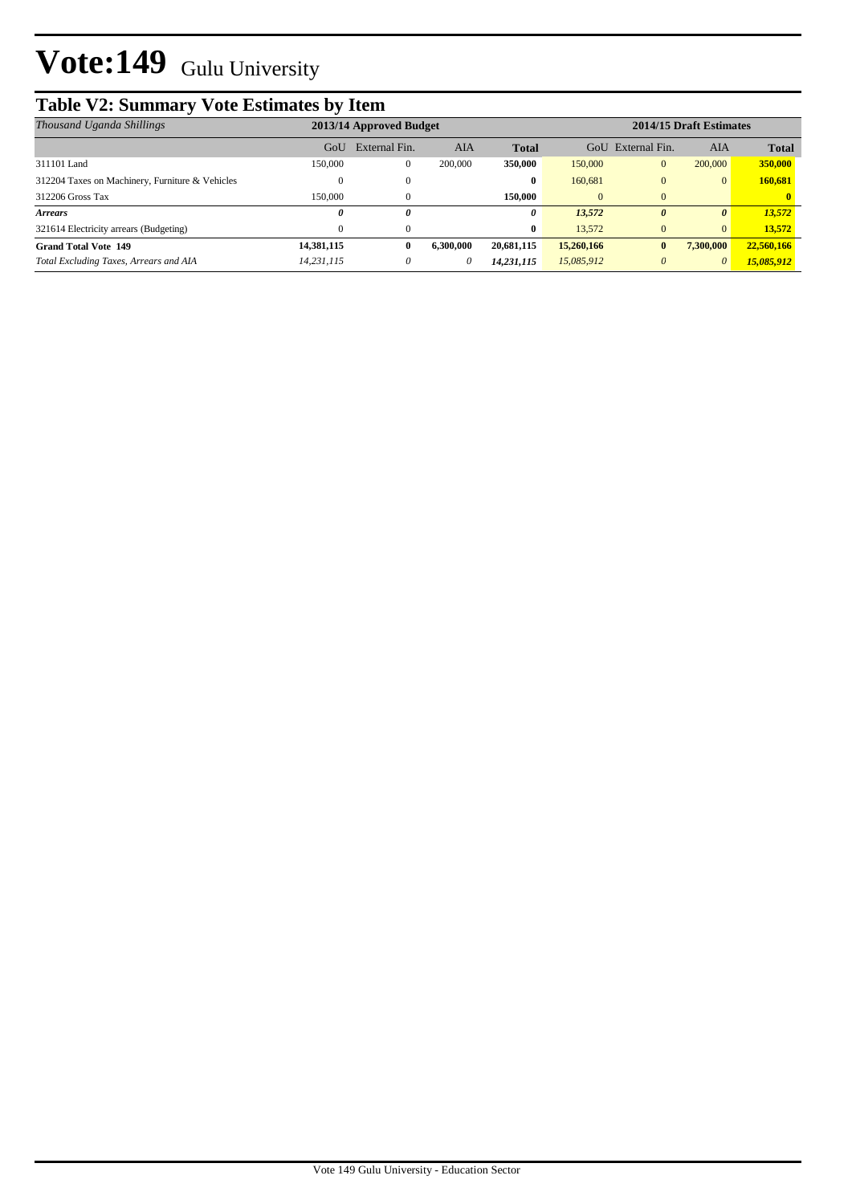## **Table V2: Summary Vote Estimates by Item**

| Thousand Uganda Shillings                       | 2013/14 Approved Budget |               |           |              |            | 2014/15 Draft Estimates |                |              |  |
|-------------------------------------------------|-------------------------|---------------|-----------|--------------|------------|-------------------------|----------------|--------------|--|
|                                                 | GoU                     | External Fin. | AIA       | <b>Total</b> | GoU        | External Fin.           | AIA            | <b>Total</b> |  |
| 311101 Land                                     | 150,000                 | 0             | 200,000   | 350,000      | 150,000    | $\mathbf{0}$            | 200,000        | 350,000      |  |
| 312204 Taxes on Machinery, Furniture & Vehicles |                         |               |           | $\bf{0}$     | 160.681    | $\Omega$                | $\Omega$       | 160,681      |  |
| 312206 Gross Tax                                | 150,000                 |               |           | 150,000      | 0          | $\Omega$                |                |              |  |
| <b>Arrears</b>                                  | 0                       | 0             |           | 0            | 13,572     | 0                       | 0              | 13,572       |  |
| 321614 Electricity arrears (Budgeting)          | 0                       |               |           | $\bf{0}$     | 13.572     | $\mathbf{0}$            | $\overline{0}$ | 13.572       |  |
| <b>Grand Total Vote 149</b>                     | 14,381,115              | 0             | 6.300.000 | 20,681,115   | 15,260,166 | $\mathbf{0}$            | 7,300,000      | 22,560,166   |  |
| Total Excluding Taxes, Arrears and AIA          | 14,231,115              | $\theta$      | 0         | 14,231,115   | 15,085,912 | $\theta$                | 0              | 15,085,912   |  |
|                                                 |                         |               |           |              |            |                         |                |              |  |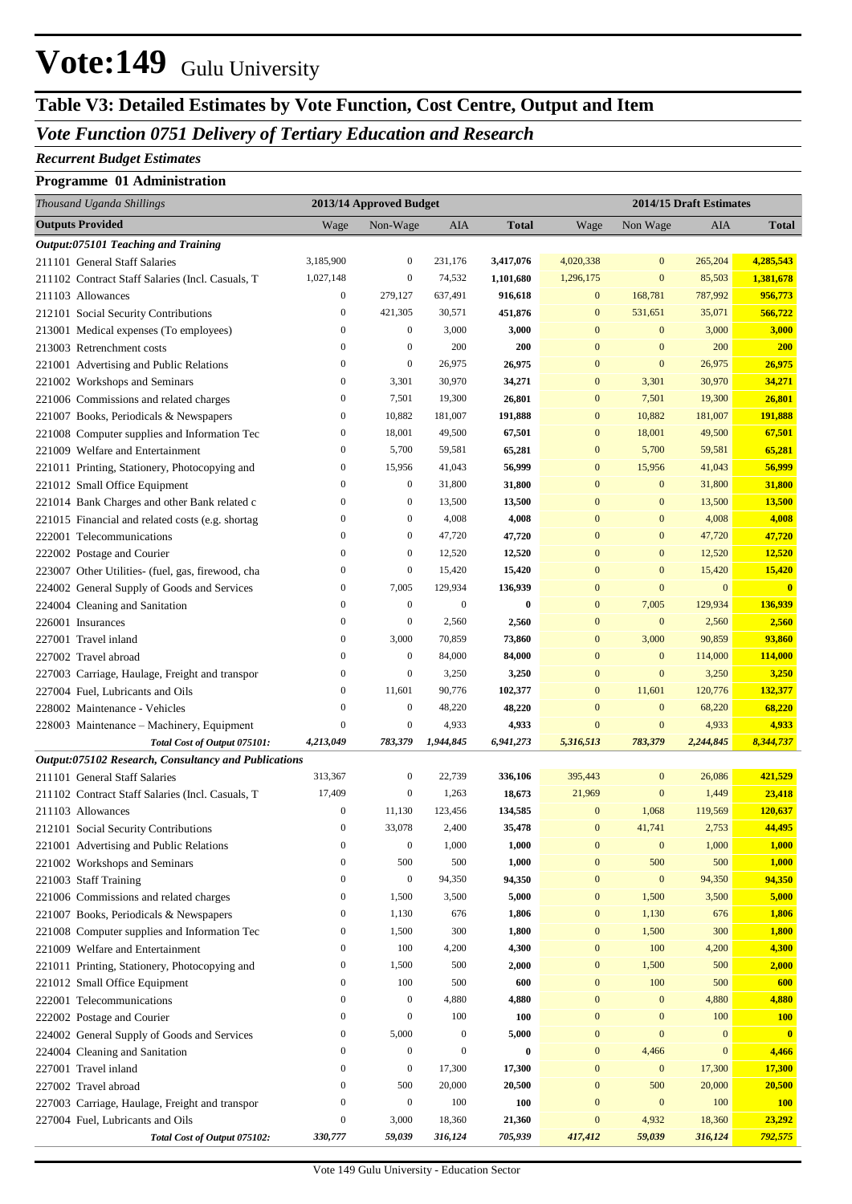### **Table V3: Detailed Estimates by Vote Function, Cost Centre, Output and Item**

### *Vote Function 0751 Delivery of Tertiary Education and Research*

#### *Recurrent Budget Estimates*

#### **Programme 01 Administration**

| Thousand Uganda Shillings                                 |                  | 2013/14 Approved Budget |                  |                   | 2014/15 Draft Estimates |                  |                  |                   |
|-----------------------------------------------------------|------------------|-------------------------|------------------|-------------------|-------------------------|------------------|------------------|-------------------|
| <b>Outputs Provided</b>                                   | Wage             | Non-Wage                | AIA              | <b>Total</b>      | Wage                    | Non Wage         | <b>AIA</b>       | <b>Total</b>      |
| Output:075101 Teaching and Training                       |                  |                         |                  |                   |                         |                  |                  |                   |
| 211101 General Staff Salaries                             | 3,185,900        | $\mathbf{0}$            | 231,176          | 3,417,076         | 4,020,338               | $\boldsymbol{0}$ | 265,204          | 4,285,543         |
| 211102 Contract Staff Salaries (Incl. Casuals, T          | 1,027,148        | $\mathbf{0}$            | 74,532           | 1,101,680         | 1,296,175               | $\boldsymbol{0}$ | 85,503           | 1,381,678         |
| 211103 Allowances                                         | $\boldsymbol{0}$ | 279,127                 | 637,491          | 916,618           | $\mathbf{0}$            | 168,781          | 787,992          | 956,773           |
| 212101 Social Security Contributions                      | $\boldsymbol{0}$ | 421,305                 | 30,571           | 451,876           | $\boldsymbol{0}$        | 531,651          | 35,071           | 566,722           |
| 213001 Medical expenses (To employees)                    | $\boldsymbol{0}$ | $\mathbf{0}$            | 3,000            | 3,000             | $\mathbf{0}$            | $\boldsymbol{0}$ | 3,000            | 3,000             |
| 213003 Retrenchment costs                                 | $\boldsymbol{0}$ | $\mathbf{0}$            | 200              | 200               | $\mathbf{0}$            | $\mathbf{0}$     | 200              | 200               |
| 221001 Advertising and Public Relations                   | $\boldsymbol{0}$ | $\mathbf{0}$            | 26,975           | 26,975            | $\overline{0}$          | $\mathbf{0}$     | 26,975           | 26,975            |
| 221002 Workshops and Seminars                             | $\boldsymbol{0}$ | 3,301                   | 30,970           | 34,271            | $\overline{0}$          | 3,301            | 30,970           | 34,271            |
| 221006 Commissions and related charges                    | $\boldsymbol{0}$ | 7,501                   | 19,300           | 26,801            | $\mathbf{0}$            | 7,501            | 19,300           | 26,801            |
| 221007 Books, Periodicals & Newspapers                    | $\boldsymbol{0}$ | 10,882                  | 181,007          | 191,888           | $\mathbf{0}$            | 10,882           | 181,007          | 191,888           |
| 221008 Computer supplies and Information Tec              | $\boldsymbol{0}$ | 18,001                  | 49,500           | 67,501            | $\mathbf{0}$            | 18,001           | 49,500           | 67,501            |
| 221009 Welfare and Entertainment                          | $\boldsymbol{0}$ | 5,700                   | 59,581           | 65,281            | $\mathbf{0}$            | 5,700            | 59,581           | 65,281            |
| 221011 Printing, Stationery, Photocopying and             | $\boldsymbol{0}$ | 15,956                  | 41,043           | 56,999            | $\mathbf{0}$            | 15,956           | 41,043           | 56,999            |
| 221012 Small Office Equipment                             | $\boldsymbol{0}$ | $\boldsymbol{0}$        | 31,800           | 31,800            | $\overline{0}$          | $\boldsymbol{0}$ | 31,800           | 31,800            |
| 221014 Bank Charges and other Bank related c              | $\boldsymbol{0}$ | $\boldsymbol{0}$        | 13,500           | 13,500            | $\overline{0}$          | $\bf{0}$         | 13,500           | 13,500            |
| 221015 Financial and related costs (e.g. shortag          | $\boldsymbol{0}$ | $\boldsymbol{0}$        | 4,008            | 4,008             | $\overline{0}$          | $\mathbf{0}$     | 4,008            | 4,008             |
| 222001 Telecommunications                                 | $\boldsymbol{0}$ | $\boldsymbol{0}$        | 47,720           | 47,720            | $\overline{0}$          | $\mathbf{0}$     | 47,720           | 47,720            |
| 222002 Postage and Courier                                | $\boldsymbol{0}$ | $\mathbf{0}$            | 12,520           | 12,520            | $\overline{0}$          | $\mathbf{0}$     | 12,520           | 12,520            |
| 223007 Other Utilities- (fuel, gas, firewood, cha         | $\boldsymbol{0}$ | $\mathbf{0}$            | 15,420           | 15,420            | $\overline{0}$          | $\mathbf{0}$     | 15,420           | 15,420            |
| 224002 General Supply of Goods and Services               | $\boldsymbol{0}$ | 7,005                   | 129,934          | 136,939           | $\overline{0}$          | $\mathbf{0}$     | $\mathbf{0}$     | $\mathbf{0}$      |
| 224004 Cleaning and Sanitation                            | $\boldsymbol{0}$ | $\boldsymbol{0}$        | $\boldsymbol{0}$ | $\bf{0}$          | $\mathbf{0}$            | 7,005            | 129,934          | 136,939           |
| 226001 Insurances                                         | $\boldsymbol{0}$ | $\mathbf{0}$            | 2,560            | 2,560             | $\overline{0}$          | $\bf{0}$         | 2,560            | 2,560             |
| 227001 Travel inland                                      | $\boldsymbol{0}$ | 3,000                   | 70,859           | 73,860            | $\overline{0}$          | 3,000            | 90,859           | 93,860            |
| 227002 Travel abroad                                      | $\boldsymbol{0}$ | $\boldsymbol{0}$        | 84,000           | 84,000            | $\overline{0}$          | $\bf{0}$         | 114,000          | 114,000           |
| 227003 Carriage, Haulage, Freight and transpor            | $\boldsymbol{0}$ | $\mathbf{0}$            | 3,250            | 3,250             | $\overline{0}$          | $\mathbf{0}$     | 3,250            | 3,250             |
| 227004 Fuel, Lubricants and Oils                          | $\boldsymbol{0}$ | 11,601                  | 90,776           | 102,377           | $\mathbf{0}$            | 11,601           | 120,776          | 132,377           |
| 228002 Maintenance - Vehicles                             | $\boldsymbol{0}$ | $\boldsymbol{0}$        | 48,220           | 48,220            | $\mathbf{0}$            | $\boldsymbol{0}$ | 68,220           | 68,220            |
| 228003 Maintenance - Machinery, Equipment                 | $\boldsymbol{0}$ | $\mathbf{0}$            | 4,933            | 4,933             | $\mathbf{0}$            | $\mathbf{0}$     | 4,933            | 4,933             |
| Total Cost of Output 075101:                              | 4,213,049        | 783,379                 | 1,944,845        | 6,941,273         | 5,316,513               | 783,379          | 2,244,845        | 8,344,737         |
| Output:075102 Research, Consultancy and Publications      | 313,367          | $\boldsymbol{0}$        |                  |                   |                         | $\boldsymbol{0}$ |                  |                   |
| 211101 General Staff Salaries                             | 17,409           | $\boldsymbol{0}$        | 22,739<br>1,263  | 336,106<br>18,673 | 395,443<br>21,969       | $\boldsymbol{0}$ | 26,086<br>1,449  | 421,529<br>23,418 |
| 211102 Contract Staff Salaries (Incl. Casuals, T          | $\boldsymbol{0}$ | 11,130                  | 123,456          | 134,585           | $\bf{0}$                | 1,068            | 119,569          | 120,637           |
| 211103 Allowances<br>212101 Social Security Contributions | $\mathbf{0}$     | 33,078                  | 2,400            | 35,478            | $\overline{0}$          | 41,741           | 2,753            | 44,495            |
| 221001 Advertising and Public Relations                   | $\boldsymbol{0}$ | $\mathbf{0}$            | 1,000            | 1,000             | $\mathbf{0}$            | $\boldsymbol{0}$ | 1,000            | 1,000             |
| 221002 Workshops and Seminars                             | $\boldsymbol{0}$ | 500                     | 500              | 1,000             | $\boldsymbol{0}$        | 500              | 500              | 1,000             |
| 221003 Staff Training                                     | $\boldsymbol{0}$ | $\boldsymbol{0}$        | 94,350           | 94,350            | $\boldsymbol{0}$        | $\boldsymbol{0}$ | 94,350           | 94,350            |
| 221006 Commissions and related charges                    | $\boldsymbol{0}$ | 1,500                   | 3,500            | 5,000             | $\boldsymbol{0}$        | 1,500            | 3,500            | 5,000             |
| 221007 Books, Periodicals & Newspapers                    | $\boldsymbol{0}$ | 1,130                   | 676              | 1,806             | $\boldsymbol{0}$        | 1,130            | 676              | 1,806             |
| 221008 Computer supplies and Information Tec              | $\boldsymbol{0}$ | 1,500                   | 300              | 1,800             | $\boldsymbol{0}$        | 1,500            | 300              | 1,800             |
| 221009 Welfare and Entertainment                          | $\boldsymbol{0}$ | 100                     | 4,200            | 4,300             | $\boldsymbol{0}$        | 100              | 4,200            | 4,300             |
| 221011 Printing, Stationery, Photocopying and             | $\boldsymbol{0}$ | 1,500                   | 500              | 2,000             | $\boldsymbol{0}$        | 1,500            | 500              | 2,000             |
| 221012 Small Office Equipment                             | $\boldsymbol{0}$ | 100                     | 500              | 600               | $\boldsymbol{0}$        | 100              | 500              | 600               |
| 222001 Telecommunications                                 | $\boldsymbol{0}$ | $\boldsymbol{0}$        | 4,880            | 4,880             | $\boldsymbol{0}$        | $\bf{0}$         | 4,880            | 4,880             |
| 222002 Postage and Courier                                | $\boldsymbol{0}$ | $\mathbf{0}$            | 100              | 100               | $\boldsymbol{0}$        | $\bf{0}$         | 100              | <b>100</b>        |
| 224002 General Supply of Goods and Services               | $\boldsymbol{0}$ | 5,000                   | $\boldsymbol{0}$ | 5,000             | $\boldsymbol{0}$        | $\boldsymbol{0}$ | $\boldsymbol{0}$ | $\mathbf{0}$      |
| 224004 Cleaning and Sanitation                            | $\boldsymbol{0}$ | $\boldsymbol{0}$        | $\mathbf{0}$     | $\bf{0}$          | $\boldsymbol{0}$        | 4,466            | $\boldsymbol{0}$ | 4,466             |
| 227001 Travel inland                                      | $\boldsymbol{0}$ | $\boldsymbol{0}$        | 17,300           | 17,300            | $\boldsymbol{0}$        | $\boldsymbol{0}$ | 17,300           | 17,300            |
| 227002 Travel abroad                                      | $\boldsymbol{0}$ | 500                     | 20,000           | 20,500            | $\boldsymbol{0}$        | 500              | 20,000           | 20,500            |
| 227003 Carriage, Haulage, Freight and transpor            | $\boldsymbol{0}$ | $\boldsymbol{0}$        | 100              | 100               | $\mathbf{0}$            | $\boldsymbol{0}$ | 100              | <b>100</b>        |
| 227004 Fuel, Lubricants and Oils                          | $\boldsymbol{0}$ | 3,000                   | 18,360           | 21,360            | $\mathbf{0}$            | 4,932            | 18,360           | 23,292            |
| Total Cost of Output 075102:                              | 330,777          | 59,039                  | 316,124          | 705,939           | 417,412                 | 59,039           | 316,124          | 792,575           |
|                                                           |                  |                         |                  |                   |                         |                  |                  |                   |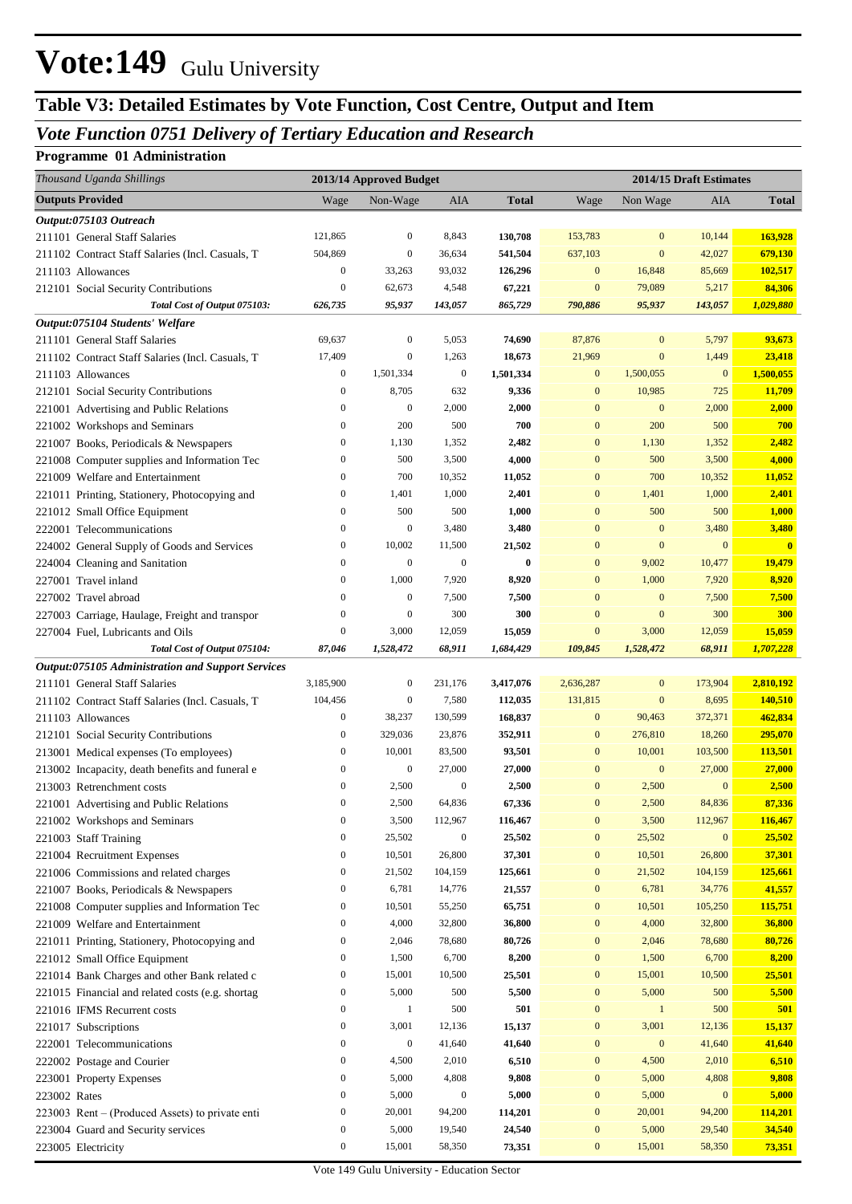## **Table V3: Detailed Estimates by Vote Function, Cost Centre, Output and Item**

## *Vote Function 0751 Delivery of Tertiary Education and Research*

#### **Programme 01 Administration**

| Thousand Uganda Shillings                                             | 2013/14 Approved Budget          |                  |                            | 2014/15 Draft Estimates |                            |                  |                         |                         |
|-----------------------------------------------------------------------|----------------------------------|------------------|----------------------------|-------------------------|----------------------------|------------------|-------------------------|-------------------------|
| <b>Outputs Provided</b>                                               | Wage                             | Non-Wage         | AIA                        | <b>Total</b>            | Wage                       | Non Wage         | AIA                     | <b>Total</b>            |
| Output:075103 Outreach                                                |                                  |                  |                            |                         |                            |                  |                         |                         |
| 211101 General Staff Salaries                                         | 121,865                          | $\boldsymbol{0}$ | 8,843                      | 130,708                 | 153,783                    | $\mathbf{0}$     | 10,144                  | 163,928                 |
| 211102 Contract Staff Salaries (Incl. Casuals, T                      | 504,869                          | $\boldsymbol{0}$ | 36,634                     | 541,504                 | 637,103                    | $\mathbf{0}$     | 42,027                  | 679,130                 |
| 211103 Allowances                                                     | $\boldsymbol{0}$                 | 33,263           | 93,032                     | 126,296                 | $\bf{0}$                   | 16,848           | 85,669                  | 102,517                 |
| 212101 Social Security Contributions                                  | $\mathbf{0}$                     | 62,673           | 4,548                      | 67,221                  | $\bf{0}$                   | 79,089           | 5,217                   | 84,306                  |
| Total Cost of Output 075103:                                          | 626,735                          | 95,937           | 143,057                    | 865,729                 | 790,886                    | 95,937           | 143,057                 | 1,029,880               |
| Output:075104 Students' Welfare                                       |                                  |                  |                            |                         |                            |                  |                         |                         |
| 211101 General Staff Salaries                                         | 69,637                           | $\boldsymbol{0}$ | 5,053                      | 74,690                  | 87,876                     | $\boldsymbol{0}$ | 5,797                   | 93,673                  |
| 211102 Contract Staff Salaries (Incl. Casuals, T                      | 17,409                           | $\boldsymbol{0}$ | 1,263                      | 18,673                  | 21,969                     | $\boldsymbol{0}$ | 1,449                   | 23,418                  |
| 211103 Allowances                                                     | $\boldsymbol{0}$                 | 1,501,334        | $\boldsymbol{0}$           | 1,501,334               | $\mathbf{0}$               | 1,500,055        | $\mathbf{0}$            | 1,500,055               |
| 212101 Social Security Contributions                                  | $\boldsymbol{0}$                 | 8,705            | 632                        | 9,336                   | $\bf{0}$                   | 10,985           | 725                     | 11,709                  |
| 221001 Advertising and Public Relations                               | $\mathbf{0}$                     | $\boldsymbol{0}$ | 2,000                      | 2,000                   | $\bf{0}$                   | $\boldsymbol{0}$ | 2,000                   | 2,000                   |
| 221002 Workshops and Seminars                                         | $\boldsymbol{0}$                 | 200              | 500                        | 700                     | $\bf{0}$                   | 200              | 500                     | 700                     |
| 221007 Books, Periodicals & Newspapers                                | $\boldsymbol{0}$                 | 1,130            | 1,352                      | 2,482                   | $\bf{0}$                   | 1,130            | 1,352                   | 2,482                   |
| 221008 Computer supplies and Information Tec                          | $\boldsymbol{0}$                 | 500              | 3,500                      | 4,000                   | $\bf{0}$                   | 500              | 3,500                   | 4,000                   |
| 221009 Welfare and Entertainment                                      | $\mathbf{0}$                     | 700              | 10,352                     | 11,052                  | $\bf{0}$                   | 700              | 10,352                  | 11,052                  |
| 221011 Printing, Stationery, Photocopying and                         | $\boldsymbol{0}$                 | 1,401            | 1,000                      | 2,401                   | $\bf{0}$                   | 1,401            | 1,000                   | 2,401                   |
| 221012 Small Office Equipment                                         | $\boldsymbol{0}$                 | 500              | 500                        | 1,000                   | $\bf{0}$                   | 500              | 500                     | 1,000                   |
| 222001 Telecommunications                                             | $\mathbf{0}$                     | $\boldsymbol{0}$ | 3,480                      | 3,480                   | $\bf{0}$                   | $\mathbf{0}$     | 3,480                   | 3,480                   |
| 224002 General Supply of Goods and Services                           | $\mathbf{0}$                     | 10,002           | 11,500                     | 21,502                  | $\bf{0}$                   | $\mathbf{0}$     | $\mathbf{0}$            | $\overline{\mathbf{0}}$ |
| 224004 Cleaning and Sanitation                                        | $\mathbf{0}$                     | $\boldsymbol{0}$ | $\mathbf{0}$               | $\bf{0}$                | $\bf{0}$                   | 9,002            | 10,477                  | 19,479                  |
| 227001 Travel inland                                                  | $\boldsymbol{0}$                 | 1,000            | 7,920                      | 8,920                   | $\boldsymbol{0}$           | 1,000            | 7,920                   | 8,920                   |
| 227002 Travel abroad                                                  | $\mathbf{0}$                     | $\boldsymbol{0}$ | 7,500                      | 7,500                   | $\bf{0}$                   | $\mathbf{0}$     | 7,500                   | 7,500                   |
| 227003 Carriage, Haulage, Freight and transpor                        | $\boldsymbol{0}$                 | $\mathbf{0}$     | 300                        | 300                     | $\bf{0}$                   | $\mathbf{0}$     | 300                     | 300                     |
| 227004 Fuel, Lubricants and Oils                                      | $\boldsymbol{0}$                 | 3,000            | 12,059                     | 15,059                  | $\bf{0}$                   | 3,000            | 12,059                  | 15,059                  |
| Total Cost of Output 075104:                                          | 87,046                           | 1,528,472        | 68,911                     | 1,684,429               | 109,845                    | 1,528,472        | 68,911                  | 1,707,228               |
| Output:075105 Administration and Support Services                     |                                  |                  |                            |                         |                            |                  |                         |                         |
| 211101 General Staff Salaries                                         | 3,185,900                        | $\boldsymbol{0}$ | 231,176                    | 3,417,076               | 2,636,287                  | $\mathbf{0}$     | 173,904                 | 2,810,192               |
| 211102 Contract Staff Salaries (Incl. Casuals, T                      | 104,456                          | $\boldsymbol{0}$ | 7,580                      | 112,035                 | 131,815                    | $\boldsymbol{0}$ | 8,695                   | 140,510                 |
| 211103 Allowances                                                     | $\boldsymbol{0}$                 | 38,237           | 130,599                    | 168,837                 | $\bf{0}$                   | 90,463           | 372,371                 | 462,834                 |
| 212101 Social Security Contributions                                  | $\boldsymbol{0}$                 | 329,036          | 23,876                     | 352,911                 | $\bf{0}$                   | 276,810          | 18,260                  | 295,070                 |
| 213001 Medical expenses (To employees)                                | $\boldsymbol{0}$                 | 10,001           | 83,500                     | 93,501                  | $\bf{0}$                   | 10,001           | 103,500                 | 113,501                 |
| 213002 Incapacity, death benefits and funeral e                       | $\mathbf{0}$                     | $\boldsymbol{0}$ | 27,000                     | 27,000                  | $\mathbf{0}$               | $\boldsymbol{0}$ | 27,000<br>$\mathbf{0}$  | 27,000                  |
| 213003 Retrenchment costs                                             | $\mathbf{0}$<br>$\boldsymbol{0}$ | 2,500            | $\boldsymbol{0}$<br>64,836 | 2,500<br>67,336         | $\bf{0}$<br>$\overline{0}$ | 2,500            | 84,836                  | 2,500                   |
| 221001 Advertising and Public Relations                               | $\boldsymbol{0}$                 | 2,500<br>3,500   | 112,967                    |                         | $\boldsymbol{0}$           | 2,500<br>3,500   |                         | 87,336<br>116,467       |
| 221002 Workshops and Seminars                                         | $\boldsymbol{0}$                 | 25,502           | $\boldsymbol{0}$           | 116,467<br>25,502       | $\boldsymbol{0}$           | 25,502           | 112,967<br>$\mathbf{0}$ | 25,502                  |
| 221003 Staff Training                                                 | $\boldsymbol{0}$                 | 10,501           | 26,800                     | 37,301                  | $\boldsymbol{0}$           | 10,501           | 26,800                  | 37,301                  |
| 221004 Recruitment Expenses<br>221006 Commissions and related charges | $\boldsymbol{0}$                 | 21,502           | 104,159                    | 125,661                 | $\boldsymbol{0}$           | 21,502           | 104,159                 | 125,661                 |
| 221007 Books, Periodicals & Newspapers                                | $\boldsymbol{0}$                 | 6,781            | 14,776                     | 21,557                  | $\boldsymbol{0}$           | 6,781            | 34,776                  | 41,557                  |
| 221008 Computer supplies and Information Tec                          | $\boldsymbol{0}$                 | 10,501           | 55,250                     | 65,751                  | $\boldsymbol{0}$           | 10,501           | 105,250                 | 115,751                 |
| 221009 Welfare and Entertainment                                      | $\boldsymbol{0}$                 | 4,000            | 32,800                     | 36,800                  | $\boldsymbol{0}$           | 4,000            | 32,800                  | 36,800                  |
| 221011 Printing, Stationery, Photocopying and                         | $\boldsymbol{0}$                 | 2,046            | 78,680                     | 80,726                  | $\boldsymbol{0}$           | 2,046            | 78,680                  | 80,726                  |
| 221012 Small Office Equipment                                         | $\boldsymbol{0}$                 | 1,500            | 6,700                      | 8,200                   | $\boldsymbol{0}$           | 1,500            | 6,700                   | 8,200                   |
| 221014 Bank Charges and other Bank related c                          | $\boldsymbol{0}$                 | 15,001           | 10,500                     | 25,501                  | $\boldsymbol{0}$           | 15,001           | 10,500                  | 25,501                  |
| 221015 Financial and related costs (e.g. shortag                      | $\boldsymbol{0}$                 | 5,000            | 500                        | 5,500                   | $\boldsymbol{0}$           | 5,000            | 500                     | 5,500                   |
| 221016 IFMS Recurrent costs                                           | $\boldsymbol{0}$                 | $\mathbf{1}$     | 500                        | 501                     | $\boldsymbol{0}$           | $\mathbf{1}$     | 500                     | 501                     |
| 221017 Subscriptions                                                  | $\boldsymbol{0}$                 | 3,001            | 12,136                     | 15,137                  | $\boldsymbol{0}$           | 3,001            | 12,136                  | 15,137                  |
| 222001 Telecommunications                                             | $\boldsymbol{0}$                 | $\boldsymbol{0}$ | 41,640                     | 41,640                  | $\boldsymbol{0}$           | $\boldsymbol{0}$ | 41,640                  | 41,640                  |
| 222002 Postage and Courier                                            | $\boldsymbol{0}$                 | 4,500            | 2,010                      | 6,510                   | $\boldsymbol{0}$           | 4,500            | 2,010                   | 6,510                   |
| 223001 Property Expenses                                              | $\boldsymbol{0}$                 | 5,000            | 4,808                      | 9,808                   | $\boldsymbol{0}$           | 5,000            | 4,808                   | 9,808                   |
| 223002 Rates                                                          | $\boldsymbol{0}$                 | 5,000            | $\boldsymbol{0}$           | 5,000                   | $\boldsymbol{0}$           | 5,000            | $\mathbf{0}$            | 5,000                   |
| 223003 Rent – (Produced Assets) to private enti                       | $\boldsymbol{0}$                 | 20,001           | 94,200                     | 114,201                 | $\boldsymbol{0}$           | 20,001           | 94,200                  | 114,201                 |
| 223004 Guard and Security services                                    | $\boldsymbol{0}$                 | 5,000            | 19,540                     | 24,540                  | $\bf{0}$                   | 5,000            | 29,540                  | 34,540                  |
| 223005 Electricity                                                    | $\boldsymbol{0}$                 | 15,001           | 58,350                     | 73,351                  | $\boldsymbol{0}$           | 15,001           | 58,350                  | 73,351                  |
|                                                                       |                                  |                  |                            |                         |                            |                  |                         |                         |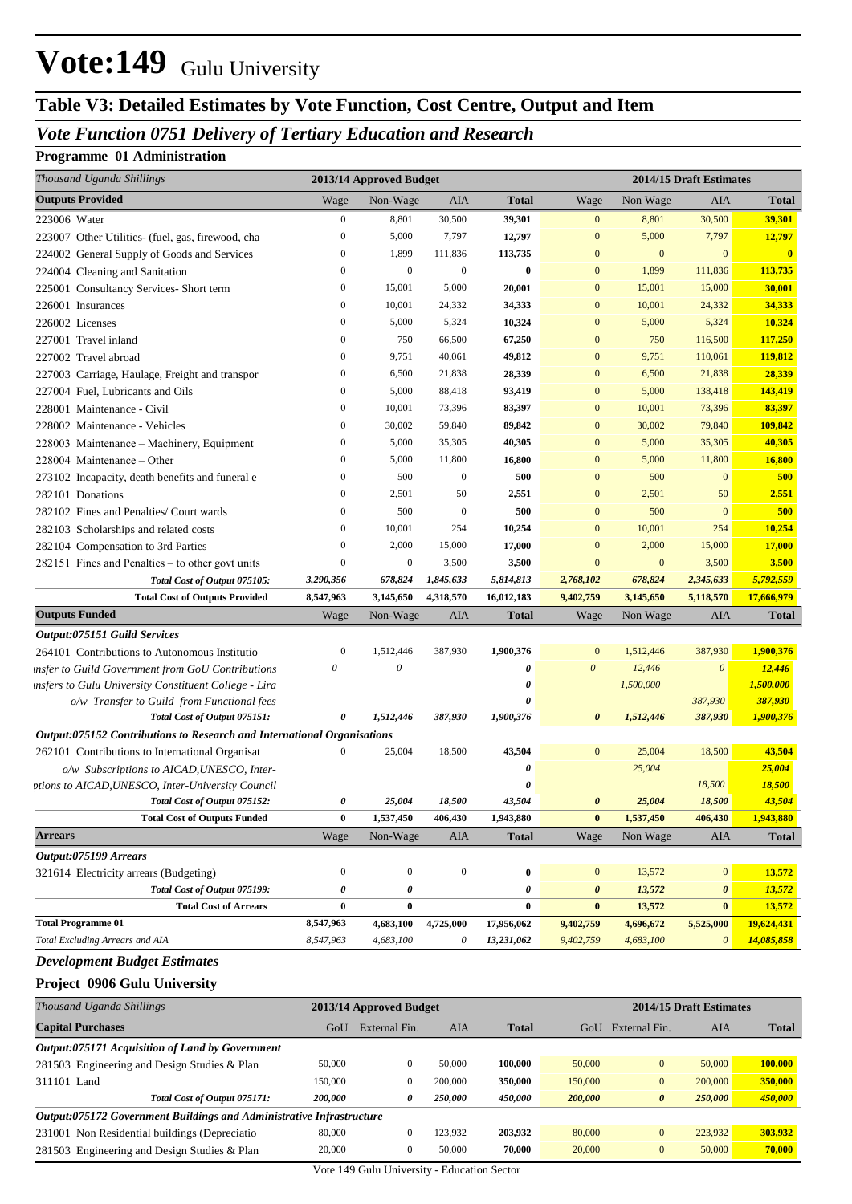### **Table V3: Detailed Estimates by Vote Function, Cost Centre, Output and Item**

#### *Vote Function 0751 Delivery of Tertiary Education and Research*

#### **Programme 01 Administration**

| Thousand Uganda Shillings                                               |                  | 2013/14 Approved Budget   |                   |              |                  |                       | 2014/15 Draft Estimates |                     |
|-------------------------------------------------------------------------|------------------|---------------------------|-------------------|--------------|------------------|-----------------------|-------------------------|---------------------|
| <b>Outputs Provided</b>                                                 | Wage             | Non-Wage                  | AIA               | <b>Total</b> | Wage             | Non Wage              | <b>AIA</b>              | <b>Total</b>        |
| 223006 Water                                                            | $\boldsymbol{0}$ | 8,801                     | 30,500            | 39,301       | $\mathbf{0}$     | 8,801                 | 30,500                  | 39,301              |
| 223007 Other Utilities- (fuel, gas, firewood, cha                       | $\boldsymbol{0}$ | 5,000                     | 7,797             | 12,797       | $\boldsymbol{0}$ | 5,000                 | 7,797                   | 12,797              |
| 224002 General Supply of Goods and Services                             | $\boldsymbol{0}$ | 1,899                     | 111,836           | 113,735      | $\boldsymbol{0}$ | $\mathbf{0}$          | $\mathbf{0}$            | $\mathbf{0}$        |
| 224004 Cleaning and Sanitation                                          | $\boldsymbol{0}$ | $\mathbf{0}$              | $\mathbf{0}$      | 0            | $\boldsymbol{0}$ | 1,899                 | 111,836                 | 113,735             |
| 225001 Consultancy Services- Short term                                 | $\boldsymbol{0}$ | 15,001                    | 5,000             | 20,001       | $\boldsymbol{0}$ | 15,001                | 15,000                  | 30,001              |
| 226001 Insurances                                                       | $\boldsymbol{0}$ | 10,001                    | 24,332            | 34,333       | $\mathbf{0}$     | 10,001                | 24,332                  | 34,333              |
| 226002 Licenses                                                         | $\boldsymbol{0}$ | 5,000                     | 5,324             | 10,324       | $\mathbf{0}$     | 5,000                 | 5,324                   | 10,324              |
| 227001 Travel inland                                                    | $\boldsymbol{0}$ | 750                       | 66,500            | 67,250       | $\boldsymbol{0}$ | 750                   | 116,500                 | 117,250             |
| 227002 Travel abroad                                                    | $\boldsymbol{0}$ | 9,751                     | 40,061            | 49,812       | $\boldsymbol{0}$ | 9,751                 | 110,061                 | 119,812             |
| 227003 Carriage, Haulage, Freight and transpor                          | $\boldsymbol{0}$ | 6,500                     | 21,838            | 28,339       | $\boldsymbol{0}$ | 6,500                 | 21,838                  | 28,339              |
| 227004 Fuel, Lubricants and Oils                                        | $\boldsymbol{0}$ | 5,000                     | 88,418            | 93,419       | $\boldsymbol{0}$ | 5,000                 | 138,418                 | 143,419             |
| 228001 Maintenance - Civil                                              | $\boldsymbol{0}$ | 10,001                    | 73,396            | 83,397       | $\boldsymbol{0}$ | 10,001                | 73,396                  | 83,397              |
| 228002 Maintenance - Vehicles                                           | $\boldsymbol{0}$ | 30,002                    | 59,840            | 89,842       | $\boldsymbol{0}$ | 30,002                | 79,840                  | 109,842             |
| 228003 Maintenance - Machinery, Equipment                               | $\boldsymbol{0}$ | 5,000                     | 35,305            | 40,305       | $\mathbf{0}$     | 5,000                 | 35,305                  | 40,305              |
| 228004 Maintenance – Other                                              | $\boldsymbol{0}$ | 5,000                     | 11,800            | 16,800       | $\boldsymbol{0}$ | 5,000                 | 11,800                  | 16,800              |
| 273102 Incapacity, death benefits and funeral e                         | $\boldsymbol{0}$ | 500                       | $\boldsymbol{0}$  | 500          | $\mathbf{0}$     | 500                   | $\overline{0}$          | 500                 |
| 282101 Donations                                                        | $\boldsymbol{0}$ | 2,501                     | 50                | 2,551        | $\mathbf{0}$     | 2,501                 | 50                      | 2,551               |
| 282102 Fines and Penalties/ Court wards                                 | $\boldsymbol{0}$ | 500                       | $\boldsymbol{0}$  | 500          | $\mathbf{0}$     | 500                   | $\overline{0}$          | 500                 |
| 282103 Scholarships and related costs                                   | $\boldsymbol{0}$ | 10,001                    | 254               | 10,254       | $\mathbf{0}$     | 10,001                | 254                     | 10,254              |
| 282104 Compensation to 3rd Parties                                      | $\boldsymbol{0}$ | 2,000                     | 15,000            | 17,000       | $\mathbf{0}$     | 2,000                 | 15,000                  | 17,000              |
| 282151 Fines and Penalties – to other govt units                        | $\boldsymbol{0}$ | $\boldsymbol{0}$          | 3,500             | 3,500        | $\mathbf{0}$     | $\mathbf{0}$          | 3,500                   | 3,500               |
| Total Cost of Output 075105:                                            | 3,290,356        | 678,824                   | 1,845,633         | 5,814,813    | 2,768,102        | 678,824               | 2,345,633               | 5,792,559           |
| <b>Total Cost of Outputs Provided</b>                                   | 8,547,963        | 3,145,650                 | 4,318,570         | 16,012,183   | 9,402,759        | 3,145,650             | 5,118,570               | 17,666,979          |
| <b>Outputs Funded</b>                                                   | Wage             | Non-Wage                  | AIA               | <b>Total</b> | Wage             | Non Wage              | <b>AIA</b>              | <b>Total</b>        |
| Output:075151 Guild Services                                            |                  |                           |                   |              |                  |                       |                         |                     |
| 264101 Contributions to Autonomous Institutio                           | $\boldsymbol{0}$ | 1,512,446                 | 387,930           | 1,900,376    | $\mathbf{0}$     | 1,512,446             | 387,930                 | 1,900,376           |
| insfer to Guild Government from GoU Contributions                       | 0                | $\boldsymbol{\mathit{0}}$ |                   | 0            | $\boldsymbol{0}$ | 12,446                | $\boldsymbol{\theta}$   | 12,446              |
| insfers to Gulu University Constituent College - Lira                   |                  |                           |                   | 0            |                  | 1,500,000             |                         | 1,500,000           |
| o/w Transfer to Guild from Functional fees                              |                  |                           |                   | O            |                  |                       | 387,930                 | 387,930             |
| Total Cost of Output 075151:                                            | 0                | 1,512,446                 | 387,930           | 1,900,376    | 0                | 1,512,446             | 387,930                 | 1,900,376           |
| Output:075152 Contributions to Research and International Organisations |                  |                           |                   |              |                  |                       |                         |                     |
| 262101 Contributions to International Organisat                         | $\mathbf{0}$     | 25,004                    | 18,500            | 43,504       | $\mathbf{0}$     | 25,004                | 18,500                  | 43,504              |
| o/w Subscriptions to AICAD, UNESCO, Inter-                              |                  |                           |                   | 0            |                  | 25,004                |                         | 25,004              |
| ptions to AICAD, UNESCO, Inter-University Council                       |                  |                           |                   | 0<br>43,504  |                  | 25,004                | 18,500                  | 18,500              |
| Total Cost of Output 075152:                                            | 0<br>$\bf{0}$    | 25,004<br>1,537,450       | 18,500<br>406,430 | 1,943,880    | 0                | 1,537,450             | 18,500<br>406,430       | 43,504<br>1,943,880 |
| <b>Total Cost of Outputs Funded</b><br><b>Arrears</b>                   |                  |                           |                   |              | $\bf{0}$         |                       |                         |                     |
|                                                                         | Wage             | Non-Wage                  | AIA               | <b>Total</b> | Wage             | Non Wage              | AIA                     | <b>Total</b>        |
| Output:075199 Arrears<br>321614 Electricity arrears (Budgeting)         | $\boldsymbol{0}$ | $\mathbf{0}$              | $\boldsymbol{0}$  | 0            | $\boldsymbol{0}$ | 13,572                | $\mathbf{0}$            | 13,572              |
| Total Cost of Output 075199:                                            | 0                | $\pmb{\theta}$            |                   | 0            | 0                | 13,572                | $\boldsymbol{\theta}$   | 13,572              |
| <b>Total Cost of Arrears</b>                                            | $\bf{0}$         | $\bf{0}$                  |                   | $\bf{0}$     | $\bf{0}$         | 13,572                | $\bf{0}$                | 13,572              |
| <b>Total Programme 01</b>                                               | 8,547,963        | 4,683,100                 | 4,725,000         | 17,956,062   | 9,402,759        | 4,696,672             | 5,525,000               | 19,624,431          |
| Total Excluding Arrears and AIA                                         | 8,547,963        | 4,683,100                 | $\theta$          | 13,231,062   | 9,402,759        | 4,683,100             | $\boldsymbol{\theta}$   | 14,085,858          |
|                                                                         |                  |                           |                   |              |                  |                       |                         |                     |
| <b>Development Budget Estimates</b>                                     |                  |                           |                   |              |                  |                       |                         |                     |
| Project 0906 Gulu University                                            |                  |                           |                   |              |                  |                       |                         |                     |
| Thousand Uganda Shillings                                               |                  | 2013/14 Approved Budget   |                   |              |                  |                       | 2014/15 Draft Estimates |                     |
| <b>Capital Purchases</b>                                                | GoU              | External Fin.             | AIA               | <b>Total</b> |                  | GoU External Fin.     | AIA                     | <b>Total</b>        |
| Output:075171 Acquisition of Land by Government                         |                  |                           |                   |              |                  |                       |                         |                     |
| 281503 Engineering and Design Studies & Plan                            | 50,000           | $\mathbf{0}$              | 50,000            | 100,000      | 50,000           | $\bf{0}$              | 50,000                  | 100,000             |
| 311101 Land                                                             | 150,000          | $\boldsymbol{0}$          | 200,000           | 350,000      | 150,000          | $\bf{0}$              | 200,000                 | 350,000             |
| Total Cost of Output 075171:                                            | 200,000          | 0                         | 250,000           | 450,000      | 200,000          | $\boldsymbol{\theta}$ | 250,000                 | 450,000             |
| Output:075172 Government Buildings and Administrative Infrastructure    |                  |                           |                   |              |                  |                       |                         |                     |
| 231001 Non Residential buildings (Depreciatio                           | 80,000           | $\boldsymbol{0}$          | 123,932           | 203,932      | 80,000           | $\bf{0}$              | 223,932                 | 303,932             |
| 281503 Engineering and Design Studies & Plan                            | 20,000           | $\boldsymbol{0}$          | 50,000            | 70,000       | 20,000           | $\bf{0}$              | 50,000                  | 70,000              |

Vote 149 Gulu University - Education Sector